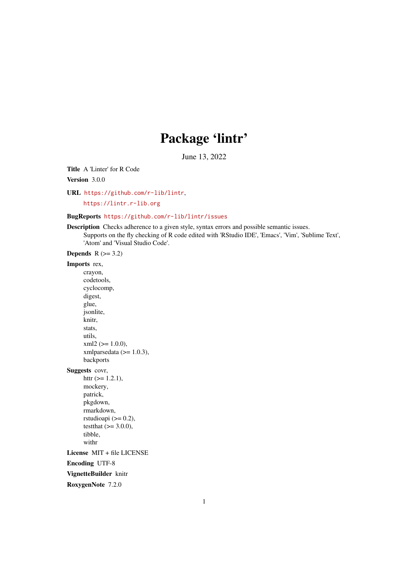# Package 'lintr'

June 13, 2022

<span id="page-0-0"></span>Title A 'Linter' for R Code

Version 3.0.0

URL <https://github.com/r-lib/lintr>,

<https://lintr.r-lib.org>

# BugReports <https://github.com/r-lib/lintr/issues>

Description Checks adherence to a given style, syntax errors and possible semantic issues. Supports on the fly checking of R code edited with 'RStudio IDE', 'Emacs', 'Vim', 'Sublime Text', 'Atom' and 'Visual Studio Code'.

**Depends**  $R$  ( $>= 3.2$ )

## Imports rex,

crayon, codetools, cyclocomp, digest, glue, jsonlite, knitr, stats, utils,  $xml2 (= 1.0.0),$ xmlparsedata  $(>= 1.0.3)$ , backports Suggests covr, httr  $(>= 1.2.1)$ , mockery, patrick,

pkgdown, rmarkdown, rstudioapi  $(>= 0.2)$ , testthat  $(>= 3.0.0)$ , tibble, withr

License MIT + file LICENSE

Encoding UTF-8

VignetteBuilder knitr

RoxygenNote 7.2.0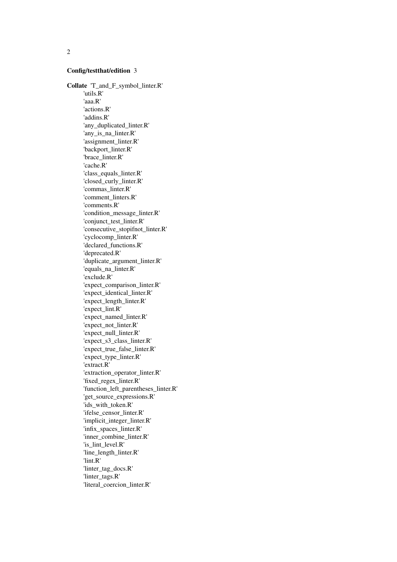## Config/testthat/edition 3

Collate 'T\_and\_F\_symbol\_linter.R' 'utils.R' 'aaa.R' 'actions.R' 'addins.R' 'any\_duplicated\_linter.R' 'any\_is\_na\_linter.R' 'assignment\_linter.R' 'backport\_linter.R' 'brace\_linter.R' 'cache.R' 'class\_equals\_linter.R' 'closed\_curly\_linter.R' 'commas\_linter.R' 'comment\_linters.R' 'comments.R' 'condition\_message\_linter.R' 'conjunct\_test\_linter.R' 'consecutive\_stopifnot\_linter.R' 'cyclocomp\_linter.R' 'declared\_functions.R' 'deprecated.R' 'duplicate\_argument\_linter.R' 'equals\_na\_linter.R' 'exclude.R' 'expect\_comparison\_linter.R' 'expect\_identical\_linter.R' 'expect\_length\_linter.R' 'expect\_lint.R' 'expect\_named\_linter.R' 'expect\_not\_linter.R' 'expect\_null\_linter.R' 'expect\_s3\_class\_linter.R' 'expect\_true\_false\_linter.R' 'expect\_type\_linter.R' 'extract.R' 'extraction\_operator\_linter.R' 'fixed\_regex\_linter.R' 'function\_left\_parentheses\_linter.R' 'get\_source\_expressions.R' 'ids\_with\_token.R' 'ifelse\_censor\_linter.R' 'implicit\_integer\_linter.R' 'infix\_spaces\_linter.R' 'inner\_combine\_linter.R' 'is\_lint\_level.R' 'line\_length\_linter.R' 'lint.R' 'linter\_tag\_docs.R' 'linter\_tags.R' 'literal\_coercion\_linter.R'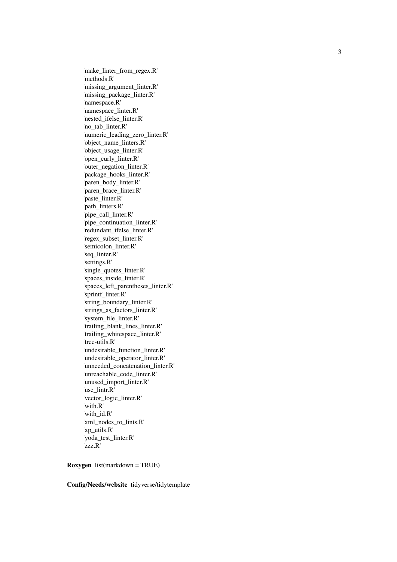'make\_linter\_from\_regex.R' 'methods.R' 'missing\_argument\_linter.R' 'missing\_package\_linter.R' 'namespace.R' 'namespace\_linter.R' 'nested\_ifelse\_linter.R' 'no\_tab\_linter.R' 'numeric\_leading\_zero\_linter.R' 'object\_name\_linters.R' 'object\_usage\_linter.R' 'open\_curly\_linter.R' 'outer\_negation\_linter.R' 'package\_hooks\_linter.R' 'paren\_body\_linter.R' 'paren\_brace\_linter.R' 'paste\_linter.R' 'path\_linters.R' 'pipe\_call\_linter.R' 'pipe\_continuation\_linter.R' 'redundant\_ifelse\_linter.R' 'regex\_subset\_linter.R' 'semicolon\_linter.R' 'seq\_linter.R' 'settings.R' 'single\_quotes\_linter.R' 'spaces\_inside\_linter.R' 'spaces\_left\_parentheses\_linter.R' 'sprintf\_linter.R' 'string\_boundary\_linter.R' 'strings\_as\_factors\_linter.R' 'system\_file\_linter.R' 'trailing\_blank\_lines\_linter.R' 'trailing\_whitespace\_linter.R' 'tree-utils.R' 'undesirable\_function\_linter.R' 'undesirable\_operator\_linter.R' 'unneeded\_concatenation\_linter.R' 'unreachable\_code\_linter.R' 'unused\_import\_linter.R' 'use\_lintr.R' 'vector\_logic\_linter.R' 'with.R' 'with\_id.R' 'xml\_nodes\_to\_lints.R' 'xp\_utils.R' 'yoda\_test\_linter.R' 'zzz.R'

Roxygen list(markdown = TRUE)

Config/Needs/website tidyverse/tidytemplate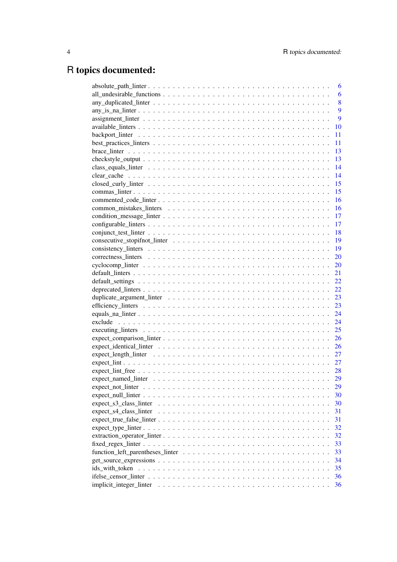# R topics documented:

|                                                                                                            | 6  |
|------------------------------------------------------------------------------------------------------------|----|
|                                                                                                            | 6  |
|                                                                                                            | 8  |
|                                                                                                            | 9  |
|                                                                                                            | 9  |
|                                                                                                            | 10 |
|                                                                                                            | 11 |
|                                                                                                            | 11 |
|                                                                                                            | 13 |
|                                                                                                            | 13 |
|                                                                                                            | 14 |
|                                                                                                            | 14 |
|                                                                                                            | 15 |
|                                                                                                            | 15 |
|                                                                                                            | 16 |
|                                                                                                            | 16 |
|                                                                                                            | 17 |
|                                                                                                            |    |
|                                                                                                            | 17 |
|                                                                                                            | 18 |
|                                                                                                            | 19 |
|                                                                                                            | 19 |
|                                                                                                            | 20 |
|                                                                                                            | 20 |
|                                                                                                            | 21 |
|                                                                                                            | 22 |
|                                                                                                            | 22 |
|                                                                                                            | 23 |
|                                                                                                            | 23 |
|                                                                                                            | 24 |
|                                                                                                            | 24 |
|                                                                                                            | 25 |
|                                                                                                            | 26 |
|                                                                                                            | 26 |
|                                                                                                            | 27 |
|                                                                                                            | 27 |
|                                                                                                            | 28 |
|                                                                                                            | 29 |
|                                                                                                            | 29 |
| $expect\_null\_linter \dots \dots \dots \dots \dots \dots \dots \dots \dots \dots \dots \dots \dots \dots$ | 30 |
| expect_s3_class_linter                                                                                     | 30 |
|                                                                                                            | 31 |
| $expect\_true\_false\_inter \dots \dots \dots \dots \dots \dots \dots \dots \dots \dots \dots \dots \dots$ | 31 |
|                                                                                                            | 32 |
| $extraction\_operator_linter$                                                                              | 32 |
|                                                                                                            | 33 |
|                                                                                                            | 33 |
|                                                                                                            | 34 |
| $get\_source\_expressions \dots \dots \dots \dots \dots \dots \dots \dots \dots \dots \dots \dots \dots$   | 35 |
| ids with token                                                                                             |    |
|                                                                                                            | 36 |
| implicit_integer_linter                                                                                    | 36 |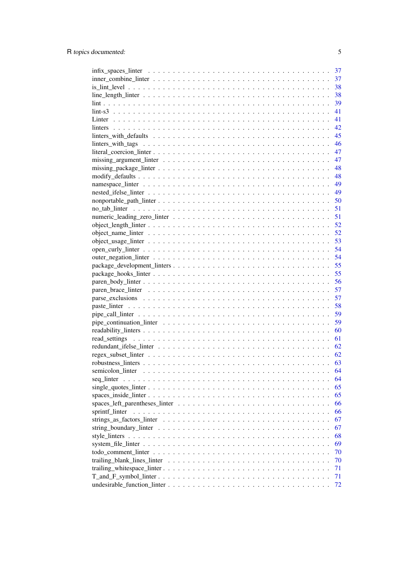| 37                                                                                                                       |
|--------------------------------------------------------------------------------------------------------------------------|
| $inner\_combine\_Inter \ldots \ldots \ldots \ldots \ldots \ldots \ldots \ldots \ldots \ldots \ldots$<br>37               |
| 38                                                                                                                       |
| 38                                                                                                                       |
| 39                                                                                                                       |
| 41                                                                                                                       |
| 41                                                                                                                       |
| 42                                                                                                                       |
|                                                                                                                          |
|                                                                                                                          |
|                                                                                                                          |
|                                                                                                                          |
|                                                                                                                          |
|                                                                                                                          |
|                                                                                                                          |
|                                                                                                                          |
|                                                                                                                          |
|                                                                                                                          |
| 51                                                                                                                       |
| 52                                                                                                                       |
| 52                                                                                                                       |
| 53                                                                                                                       |
| 54                                                                                                                       |
| 54                                                                                                                       |
| 55                                                                                                                       |
| 55                                                                                                                       |
|                                                                                                                          |
| 56                                                                                                                       |
| 57                                                                                                                       |
| 57                                                                                                                       |
| 58                                                                                                                       |
| 59                                                                                                                       |
| 59                                                                                                                       |
| 60                                                                                                                       |
| 61                                                                                                                       |
| 62                                                                                                                       |
| 62                                                                                                                       |
| 63                                                                                                                       |
| semicolon_linter<br>64                                                                                                   |
| 64                                                                                                                       |
| 65                                                                                                                       |
| 65                                                                                                                       |
| 66                                                                                                                       |
| sprintf_linter<br>66                                                                                                     |
| 67                                                                                                                       |
| string boundary linter $\dots \dots \dots \dots \dots \dots \dots \dots \dots \dots \dots \dots \dots \dots \dots$<br>67 |
| 68                                                                                                                       |
| 69                                                                                                                       |
| 70                                                                                                                       |
| 70                                                                                                                       |
| 71                                                                                                                       |
| 71                                                                                                                       |
| 72                                                                                                                       |
|                                                                                                                          |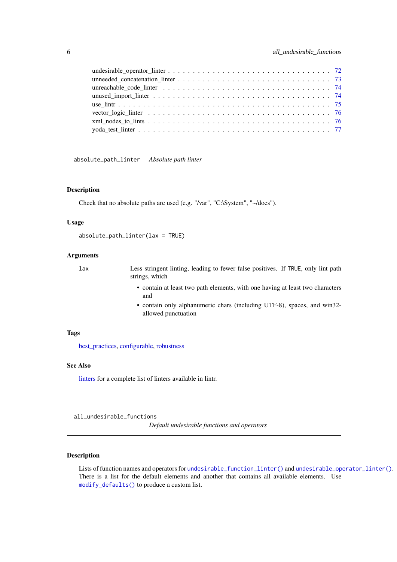<span id="page-5-0"></span>

<span id="page-5-1"></span>absolute\_path\_linter *Absolute path linter*

# Description

Check that no absolute paths are used (e.g. "/var", "C:\System", "~/docs").

# Usage

```
absolute_path_linter(lax = TRUE)
```
# Arguments

- lax Less stringent linting, leading to fewer false positives. If TRUE, only lint path strings, which
	- contain at least two path elements, with one having at least two characters and
	- contain only alphanumeric chars (including UTF-8), spaces, and win32 allowed punctuation

# Tags

[best\\_practices,](#page-10-1) [configurable,](#page-16-1) [robustness](#page-62-1)

# See Also

[linters](#page-41-1) for a complete list of linters available in lintr.

all\_undesirable\_functions

*Default undesirable functions and operators*

#### Description

Lists of function names and operators for [undesirable\\_function\\_linter\(\)](#page-71-1) and [undesirable\\_operator\\_linter\(\)](#page-71-2). There is a list for the default elements and another that contains all available elements. Use [modify\\_defaults\(\)](#page-47-1) to produce a custom list.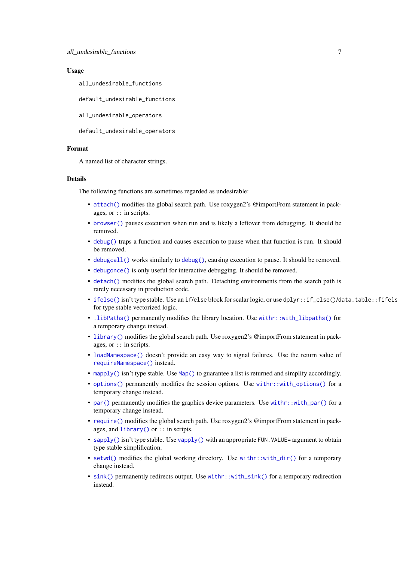## Usage

all\_undesirable\_functions

default\_undesirable\_functions

all\_undesirable\_operators

default\_undesirable\_operators

## Format

A named list of character strings.

# Details

The following functions are sometimes regarded as undesirable:

- [attach\(\)](#page-0-0) modifies the global search path. Use roxygen2's @importFrom statement in packages, or :: in scripts.
- [browser\(\)](#page-0-0) pauses execution when run and is likely a leftover from debugging. It should be removed.
- [debug\(\)](#page-0-0) traps a function and causes execution to pause when that function is run. It should be removed.
- [debugcall\(\)](#page-0-0) works similarly to [debug\(\)](#page-0-0), causing execution to pause. It should be removed.
- [debugonce\(\)](#page-0-0) is only useful for interactive debugging. It should be removed.
- [detach\(\)](#page-0-0) modifies the global search path. Detaching environments from the search path is rarely necessary in production code.
- [ifelse\(\)](#page-0-0) isn't type stable. Use an if/else block for scalar logic, or use dplyr::if\_else()/data.table::fifelse() for type stable vectorized logic.
- [.libPaths\(\)](#page-0-0) permanently modifies the library location. Use [withr::with\\_libpaths\(\)](#page-0-0) for a temporary change instead.
- [library\(\)](#page-0-0) modifies the global search path. Use roxygen2's @importFrom statement in packages, or :: in scripts.
- [loadNamespace\(\)](#page-0-0) doesn't provide an easy way to signal failures. Use the return value of [requireNamespace\(\)](#page-0-0) instead.
- [mapply\(\)](#page-0-0) isn't type stable. Use [Map\(\)](#page-0-0) to guarantee a list is returned and simplify accordingly.
- [options\(\)](#page-0-0) permanently modifies the session options. Use [withr::with\\_options\(\)](#page-0-0) for a temporary change instead.
- [par\(\)](#page-0-0) permanently modifies the graphics device parameters. Use [withr::with\\_par\(\)](#page-0-0) for a temporary change instead.
- [require\(\)](#page-0-0) modifies the global search path. Use roxygen2's @importFrom statement in packages, and [library\(\)](#page-0-0) or :: in scripts.
- [sapply\(\)](#page-0-0) isn't type stable. Use [vapply\(\)](#page-0-0) with an appropriate FUN. VALUE= argument to obtain type stable simplification.
- [setwd\(\)](#page-0-0) modifies the global working directory. Use [withr::with\\_dir\(\)](#page-0-0) for a temporary change instead.
- [sink\(\)](#page-0-0) permanently redirects output. Use [withr::with\\_sink\(\)](#page-0-0) for a temporary redirection instead.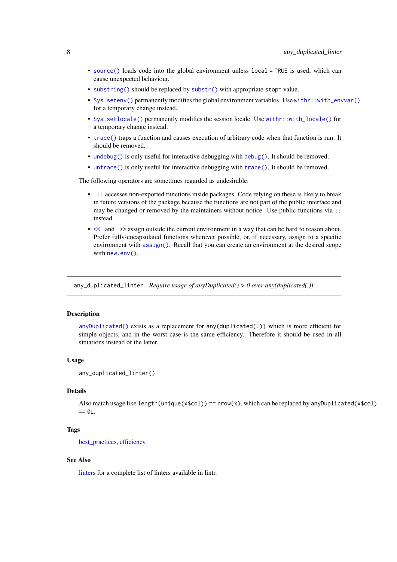- <span id="page-7-0"></span>• [source\(\)](#page-0-0) loads code into the global environment unless local = TRUE is used, which can cause unexpected behaviour.
- [substring\(\)](#page-0-0) should be replaced by [substr\(\)](#page-0-0) with appropriate stop= value.
- [Sys.setenv\(\)](#page-0-0) permanently modifies the global environment variables. Use [withr::with\\_envvar\(\)](#page-0-0) for a temporary change instead.
- [Sys.setlocale\(\)](#page-0-0) permanently modifies the session locale. Use [withr::with\\_locale\(\)](#page-0-0) for a temporary change instead.
- [trace\(\)](#page-0-0) traps a function and causes execution of arbitrary code when that function is run. It should be removed.
- [undebug\(\)](#page-0-0) is only useful for interactive debugging with [debug\(\)](#page-0-0). It should be removed.
- [untrace\(\)](#page-0-0) is only useful for interactive debugging with [trace\(\)](#page-0-0). It should be removed.

The following operators are sometimes regarded as undesirable:

- [:::](#page-0-0) accesses non-exported functions inside packages. Code relying on these is likely to break in future versions of the package because the functions are not part of the public interface and may be changed or removed by the maintainers without notice. Use public functions via :: instead.
- [<<-](#page-0-0) and ->> assign outside the current environment in a way that can be hard to reason about. Prefer fully-encapsulated functions wherever possible, or, if necessary, assign to a specific environment with [assign\(\)](#page-0-0). Recall that you can create an environment at the desired scope with [new.env\(\)](#page-0-0).

<span id="page-7-1"></span>any\_duplicated\_linter *Require usage of anyDuplicated() > 0 over any(duplicated(.))*

## Description

[anyDuplicated\(\)](#page-0-0) exists as a replacement for any(duplicated(.)) which is more efficient for simple objects, and in the worst case is the same efficiency. Therefore it should be used in all situations instead of the latter.

## Usage

```
any_duplicated_linter()
```
## Details

Also match usage like length(unique(x\$col)) ==  $nrow(x)$ , which can be replaced by anyDuplicated(x\$col)  $== 0L$ .

## Tags

best practices, [efficiency](#page-22-1)

#### See Also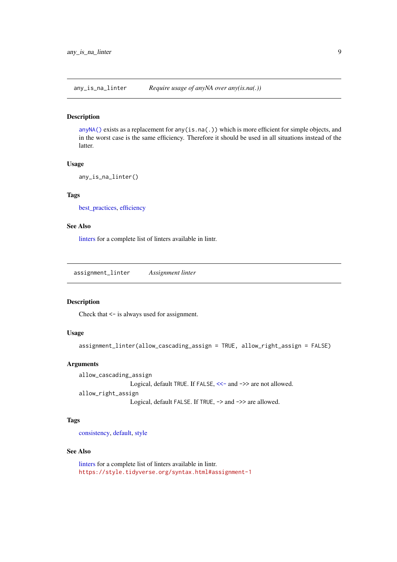<span id="page-8-1"></span><span id="page-8-0"></span>any\_is\_na\_linter *Require usage of anyNA over any(is.na(.))*

## Description

[anyNA\(\)](#page-0-0) exists as a replacement for any(is.na(.)) which is more efficient for simple objects, and in the worst case is the same efficiency. Therefore it should be used in all situations instead of the latter.

## Usage

```
any_is_na_linter()
```
# Tags

[best\\_practices,](#page-10-1) [efficiency](#page-22-1)

## See Also

[linters](#page-41-1) for a complete list of linters available in lintr.

<span id="page-8-2"></span>assignment\_linter *Assignment linter*

### Description

Check that <- is always used for assignment.

# Usage

```
assignment_linter(allow_cascading_assign = TRUE, allow_right_assign = FALSE)
```
# Arguments

```
allow_cascading_assign
              <<- and ->> are not allowed.
allow_right_assign
              Logical, default FALSE. If TRUE, -> and ->> are allowed.
```
## Tags

[consistency,](#page-18-1) [default,](#page-20-1) [style](#page-67-1)

## See Also

[linters](#page-41-1) for a complete list of linters available in lintr. <https://style.tidyverse.org/syntax.html#assignment-1>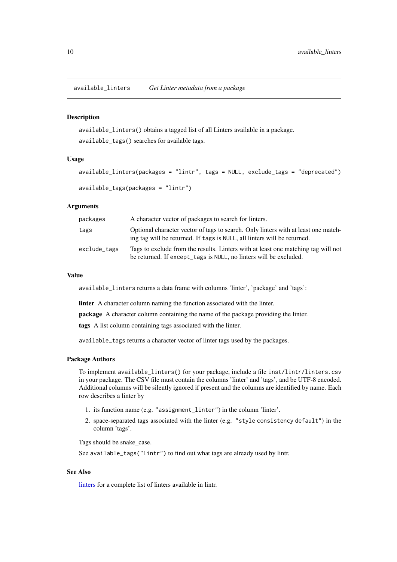<span id="page-9-0"></span>available\_linters *Get Linter metadata from a package*

## Description

available\_linters() obtains a tagged list of all Linters available in a package. available\_tags() searches for available tags.

#### Usage

```
available_linters(packages = "lintr", tags = NULL, exclude_tags = "deprecated")
available_tags(packages = "lintr")
```
#### Arguments

| packages     | A character vector of packages to search for linters.                                                                                                          |
|--------------|----------------------------------------------------------------------------------------------------------------------------------------------------------------|
| tags         | Optional character vector of tags to search. Only linters with at least one match-<br>ing tag will be returned. If tags is NULL, all linters will be returned. |
| exclude_tags | Tags to exclude from the results. Linters with at least one matching tag will not<br>be returned. If except_tags is NULL, no linters will be excluded.         |

## Value

available\_linters returns a data frame with columns 'linter', 'package' and 'tags':

linter A character column naming the function associated with the linter.

package A character column containing the name of the package providing the linter.

tags A list column containing tags associated with the linter.

available\_tags returns a character vector of linter tags used by the packages.

#### Package Authors

To implement available\_linters() for your package, include a file inst/lintr/linters.csv in your package. The CSV file must contain the columns 'linter' and 'tags', and be UTF-8 encoded. Additional columns will be silently ignored if present and the columns are identified by name. Each row describes a linter by

- 1. its function name (e.g. "assignment\_linter") in the column 'linter'.
- 2. space-separated tags associated with the linter (e.g. "style consistency default") in the column 'tags'.

Tags should be snake\_case.

See available\_tags("lintr") to find out what tags are already used by lintr.

## See Also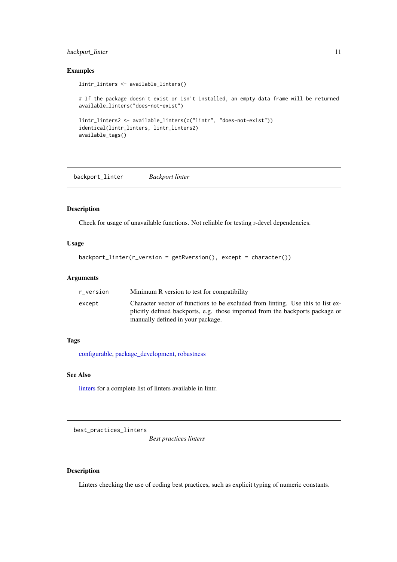#### <span id="page-10-0"></span>backport\_linter 11

# Examples

```
lintr_linters <- available_linters()
# If the package doesn't exist or isn't installed, an empty data frame will be returned
available_linters("does-not-exist")
lintr_linters2 <- available_linters(c("lintr", "does-not-exist"))
identical(lintr_linters, lintr_linters2)
available_tags()
```
<span id="page-10-2"></span>backport\_linter *Backport linter*

## Description

Check for usage of unavailable functions. Not reliable for testing r-devel dependencies.

## Usage

```
backport_linter(r_version = getRversion(), except = character())
```
## Arguments

| r version | Minimum R version to test for compatibility                                                                                                                                                           |
|-----------|-------------------------------------------------------------------------------------------------------------------------------------------------------------------------------------------------------|
| except    | Character vector of functions to be excluded from linting. Use this to list ex-<br>plicitly defined backports, e.g. those imported from the backports package or<br>manually defined in your package. |

# Tags

[configurable,](#page-16-1) [package\\_development,](#page-54-1) [robustness](#page-62-1)

## See Also

[linters](#page-41-1) for a complete list of linters available in lintr.

<span id="page-10-1"></span>best\_practices\_linters

*Best practices linters*

# Description

Linters checking the use of coding best practices, such as explicit typing of numeric constants.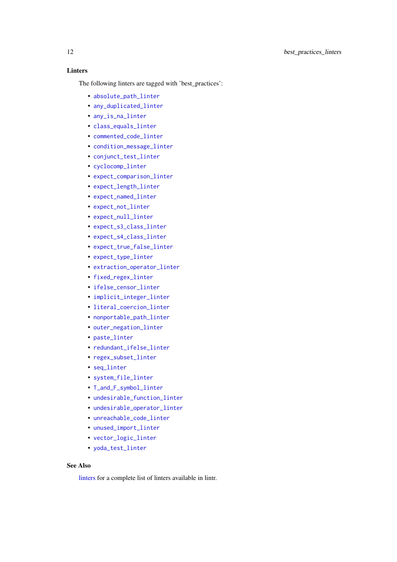# Linters

The following linters are tagged with 'best\_practices':

- [absolute\\_path\\_linter](#page-5-1)
- [any\\_duplicated\\_linter](#page-7-1)
- [any\\_is\\_na\\_linter](#page-8-1)
- [class\\_equals\\_linter](#page-13-1)
- [commented\\_code\\_linter](#page-15-1)
- [condition\\_message\\_linter](#page-16-2)
- [conjunct\\_test\\_linter](#page-17-1)
- [cyclocomp\\_linter](#page-19-1)
- [expect\\_comparison\\_linter](#page-25-1)
- [expect\\_length\\_linter](#page-26-1)
- [expect\\_named\\_linter](#page-28-1)
- [expect\\_not\\_linter](#page-28-2)
- [expect\\_null\\_linter](#page-29-1)
- [expect\\_s3\\_class\\_linter](#page-29-2)
- [expect\\_s4\\_class\\_linter](#page-30-1)
- [expect\\_true\\_false\\_linter](#page-30-2)
- [expect\\_type\\_linter](#page-31-1)
- [extraction\\_operator\\_linter](#page-31-2)
- [fixed\\_regex\\_linter](#page-32-1)
- [ifelse\\_censor\\_linter](#page-35-1)
- [implicit\\_integer\\_linter](#page-35-2)
- [literal\\_coercion\\_linter](#page-46-1)
- [nonportable\\_path\\_linter](#page-49-1)
- [outer\\_negation\\_linter](#page-53-1)
- paste linter
- [redundant\\_ifelse\\_linter](#page-61-1)
- [regex\\_subset\\_linter](#page-61-2)
- [seq\\_linter](#page-63-1)
- [system\\_file\\_linter](#page-68-1)
- [T\\_and\\_F\\_symbol\\_linter](#page-70-1)
- [undesirable\\_function\\_linter](#page-71-1)
- [undesirable\\_operator\\_linter](#page-71-2)
- unreachable code linter
- [unused\\_import\\_linter](#page-73-2)
- [vector\\_logic\\_linter](#page-75-1)
- [yoda\\_test\\_linter](#page-76-1)

# See Also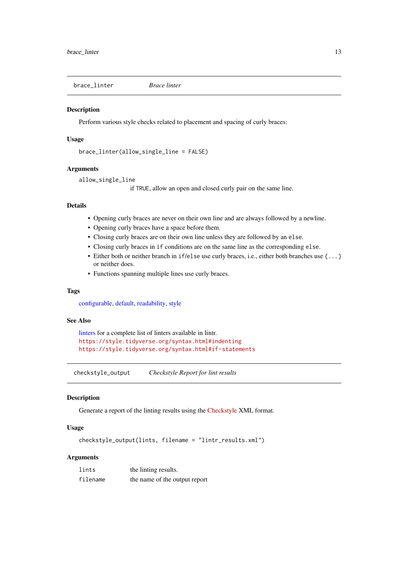<span id="page-12-1"></span><span id="page-12-0"></span>brace\_linter *Brace linter*

# Description

Perform various style checks related to placement and spacing of curly braces:

# Usage

```
brace_linter(allow_single_line = FALSE)
```
## Arguments

```
allow_single_line
```
if TRUE, allow an open and closed curly pair on the same line.

# Details

- Opening curly braces are never on their own line and are always followed by a newline.
- Opening curly braces have a space before them.
- Closing curly braces are on their own line unless they are followed by an else.
- Closing curly braces in if conditions are on the same line as the corresponding else.
- Either both or neither branch in if/else use curly braces, i.e., either both branches use {...} or neither does.
- Functions spanning multiple lines use curly braces.

## Tags

[configurable,](#page-16-1) [default,](#page-20-1) [readability,](#page-59-1) [style](#page-67-1)

## See Also

```
linters for a complete list of linters available in lintr.
https://style.tidyverse.org/syntax.html#indenting
https://style.tidyverse.org/syntax.html#if-statements
```
checkstyle\_output *Checkstyle Report for lint results*

## Description

Generate a report of the linting results using the [Checkstyle](https://checkstyle.sourceforge.io) XML format.

# Usage

```
checkstyle_output(lints, filename = "lintr_results.xml")
```
# Arguments

| lints    | the linting results.          |
|----------|-------------------------------|
| filename | the name of the output report |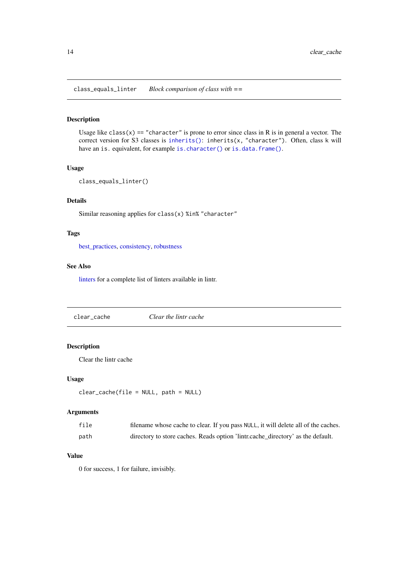<span id="page-13-1"></span><span id="page-13-0"></span>class\_equals\_linter *Block comparison of class with ==*

#### Description

Usage like class(x) == "character" is prone to error since class in R is in general a vector. The correct version for S3 classes is [inherits\(\)](#page-0-0): inherits(x, "character"). Often, class k will have an is. equivalent, for example [is.character\(\)](#page-0-0) or [is.data.frame\(\)](#page-0-0).

# Usage

```
class_equals_linter()
```
# Details

Similar reasoning applies for class(x) %in% "character"

# Tags

[best\\_practices,](#page-10-1) [consistency,](#page-18-1) [robustness](#page-62-1)

## See Also

[linters](#page-41-1) for a complete list of linters available in lintr.

clear\_cache *Clear the lintr cache*

# Description

Clear the lintr cache

# Usage

```
clear_cache(file = NULL, path = NULL)
```
# Arguments

| file | filename whose cache to clear. If you pass NULL, it will delete all of the caches. |
|------|------------------------------------------------------------------------------------|
| path | directory to store caches. Reads option 'lintr.cache_directory' as the default.    |

# Value

0 for success, 1 for failure, invisibly.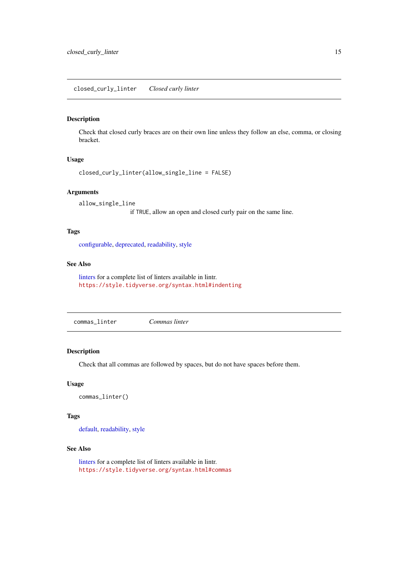<span id="page-14-1"></span><span id="page-14-0"></span>closed\_curly\_linter *Closed curly linter*

## Description

Check that closed curly braces are on their own line unless they follow an else, comma, or closing bracket.

# Usage

```
closed_curly_linter(allow_single_line = FALSE)
```
### Arguments

allow\_single\_line

if TRUE, allow an open and closed curly pair on the same line.

# Tags

[configurable,](#page-16-1) [deprecated,](#page-21-1) [readability,](#page-59-1) [style](#page-67-1)

#### See Also

[linters](#page-41-1) for a complete list of linters available in lintr. <https://style.tidyverse.org/syntax.html#indenting>

<span id="page-14-2"></span>commas\_linter *Commas linter*

# Description

Check that all commas are followed by spaces, but do not have spaces before them.

## Usage

```
commas_linter()
```
# Tags

[default,](#page-20-1) [readability,](#page-59-1) [style](#page-67-1)

# See Also

[linters](#page-41-1) for a complete list of linters available in lintr. <https://style.tidyverse.org/syntax.html#commas>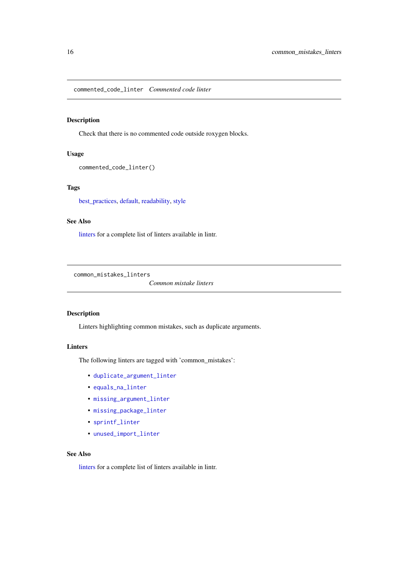<span id="page-15-1"></span><span id="page-15-0"></span>commented\_code\_linter *Commented code linter*

# Description

Check that there is no commented code outside roxygen blocks.

# Usage

```
commented_code_linter()
```
# Tags

[best\\_practices,](#page-10-1) [default,](#page-20-1) [readability,](#page-59-1) [style](#page-67-1)

## See Also

[linters](#page-41-1) for a complete list of linters available in lintr.

<span id="page-15-2"></span>common\_mistakes\_linters

*Common mistake linters*

# Description

Linters highlighting common mistakes, such as duplicate arguments.

# Linters

The following linters are tagged with 'common\_mistakes':

- [duplicate\\_argument\\_linter](#page-22-2)
- [equals\\_na\\_linter](#page-23-1)
- [missing\\_argument\\_linter](#page-46-2)
- [missing\\_package\\_linter](#page-47-2)
- [sprintf\\_linter](#page-65-1)
- [unused\\_import\\_linter](#page-73-2)

## See Also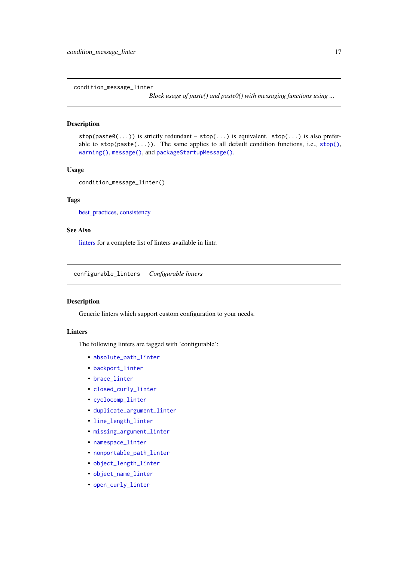<span id="page-16-2"></span><span id="page-16-0"></span>condition\_message\_linter

*Block usage of paste() and paste0() with messaging functions using ...*

# Description

 $stop(*most*,...)$  is strictly redundant –  $stop(...)$  is equivalent.  $stop(...)$  is also preferable to  $stop(paste(...))$ . The same applies to all default condition functions, i.e.,  $stop(),$  $stop(),$ [warning\(\)](#page-0-0), [message\(\)](#page-0-0), and [packageStartupMessage\(\)](#page-0-0).

#### Usage

```
condition_message_linter()
```
# Tags

[best\\_practices,](#page-10-1) [consistency](#page-18-1)

## See Also

[linters](#page-41-1) for a complete list of linters available in lintr.

<span id="page-16-1"></span>configurable\_linters *Configurable linters*

#### Description

Generic linters which support custom configuration to your needs.

# Linters

The following linters are tagged with 'configurable':

- [absolute\\_path\\_linter](#page-5-1)
- [backport\\_linter](#page-10-2)
- [brace\\_linter](#page-12-1)
- [closed\\_curly\\_linter](#page-14-1)
- [cyclocomp\\_linter](#page-19-1)
- [duplicate\\_argument\\_linter](#page-22-2)
- [line\\_length\\_linter](#page-37-1)
- [missing\\_argument\\_linter](#page-46-2)
- [namespace\\_linter](#page-48-1)
- [nonportable\\_path\\_linter](#page-49-1)
- [object\\_length\\_linter](#page-51-1)
- [object\\_name\\_linter](#page-51-2)
- [open\\_curly\\_linter](#page-53-2)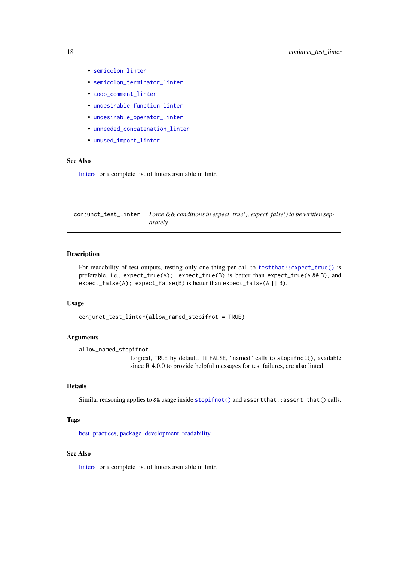- <span id="page-17-0"></span>• [semicolon\\_linter](#page-63-2)
- [semicolon\\_terminator\\_linter](#page-63-3)
- [todo\\_comment\\_linter](#page-69-1)
- [undesirable\\_function\\_linter](#page-71-1)
- [undesirable\\_operator\\_linter](#page-71-2)
- [unneeded\\_concatenation\\_linter](#page-72-1)
- [unused\\_import\\_linter](#page-73-2)

#### See Also

[linters](#page-41-1) for a complete list of linters available in lintr.

<span id="page-17-1"></span>conjunct\_test\_linter *Force && conditions in expect\_true(), expect\_false() to be written separately*

#### Description

For readability of test outputs, testing only one thing per call to [testthat::expect\\_true\(\)](#page-0-0) is preferable, i.e., expect\_true(A); expect\_true(B) is better than expect\_true(A && B), and expect\_false(A); expect\_false(B) is better than expect\_false(A || B).

## Usage

conjunct\_test\_linter(allow\_named\_stopifnot = TRUE)

#### Arguments

allow\_named\_stopifnot

Logical, TRUE by default. If FALSE, "named" calls to stopifnot(), available since R 4.0.0 to provide helpful messages for test failures, are also linted.

## Details

Similar reasoning applies to && usage inside [stopifnot\(\)](#page-0-0) and assert that::assert\_that() calls.

## Tags

[best\\_practices,](#page-10-1) [package\\_development,](#page-54-1) [readability](#page-59-1)

#### See Also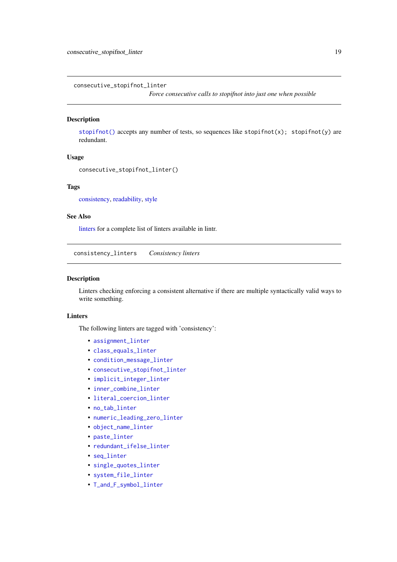<span id="page-18-2"></span><span id="page-18-0"></span>consecutive\_stopifnot\_linter

*Force consecutive calls to stopifnot into just one when possible*

#### Description

[stopifnot\(\)](#page-0-0) accepts any number of tests, so sequences like stopifnot(x); stopifnot(y) are redundant.

# Usage

```
consecutive_stopifnot_linter()
```
# Tags

[consistency,](#page-18-1) [readability,](#page-59-1) [style](#page-67-1)

# See Also

[linters](#page-41-1) for a complete list of linters available in lintr.

<span id="page-18-1"></span>consistency\_linters *Consistency linters*

#### Description

Linters checking enforcing a consistent alternative if there are multiple syntactically valid ways to write something.

## Linters

The following linters are tagged with 'consistency':

- assignment linter
- [class\\_equals\\_linter](#page-13-1)
- [condition\\_message\\_linter](#page-16-2)
- [consecutive\\_stopifnot\\_linter](#page-18-2)
- [implicit\\_integer\\_linter](#page-35-2)
- [inner\\_combine\\_linter](#page-36-1)
- [literal\\_coercion\\_linter](#page-46-1)
- [no\\_tab\\_linter](#page-50-1)
- [numeric\\_leading\\_zero\\_linter](#page-50-2)
- [object\\_name\\_linter](#page-51-2)
- [paste\\_linter](#page-57-1)
- [redundant\\_ifelse\\_linter](#page-61-1)
- [seq\\_linter](#page-63-1)
- [single\\_quotes\\_linter](#page-64-1)
- [system\\_file\\_linter](#page-68-1)
- [T\\_and\\_F\\_symbol\\_linter](#page-70-1)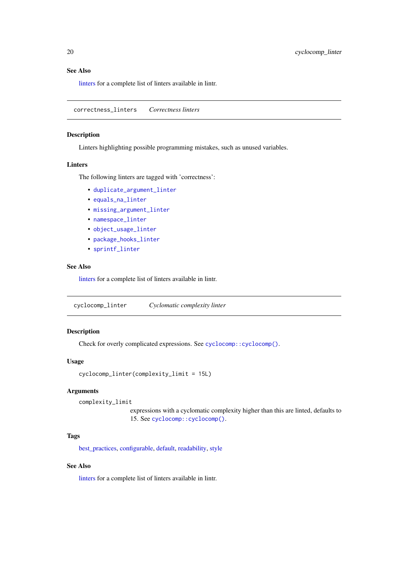## See Also

[linters](#page-41-1) for a complete list of linters available in lintr.

<span id="page-19-2"></span>correctness\_linters *Correctness linters*

## Description

Linters highlighting possible programming mistakes, such as unused variables.

## Linters

The following linters are tagged with 'correctness':

- [duplicate\\_argument\\_linter](#page-22-2)
- [equals\\_na\\_linter](#page-23-1)
- [missing\\_argument\\_linter](#page-46-2)
- [namespace\\_linter](#page-48-1)
- [object\\_usage\\_linter](#page-52-1)
- [package\\_hooks\\_linter](#page-54-2)
- [sprintf\\_linter](#page-65-1)

# See Also

[linters](#page-41-1) for a complete list of linters available in lintr.

<span id="page-19-1"></span>cyclocomp\_linter *Cyclomatic complexity linter*

# Description

Check for overly complicated expressions. See [cyclocomp::cyclocomp\(\)](#page-0-0).

## Usage

```
cyclocomp_linter(complexity_limit = 15L)
```
# Arguments

complexity\_limit

expressions with a cyclomatic complexity higher than this are linted, defaults to 15. See [cyclocomp::cyclocomp\(\)](#page-0-0).

## Tags

[best\\_practices,](#page-10-1) [configurable,](#page-16-1) [default,](#page-20-1) [readability,](#page-59-1) [style](#page-67-1)

# See Also

<span id="page-19-0"></span>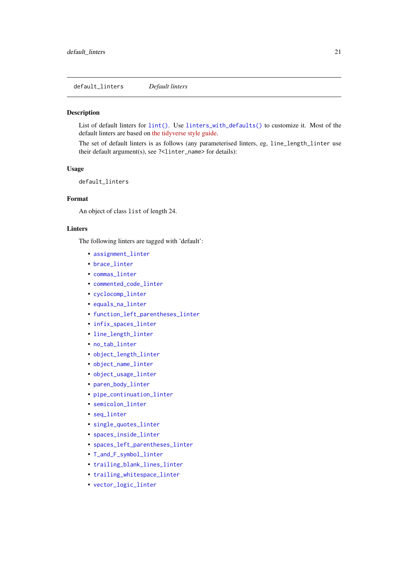<span id="page-20-1"></span><span id="page-20-0"></span>default\_linters *Default linters*

## Description

List of default linters for [lint\(\)](#page-38-1). Use [linters\\_with\\_defaults\(\)](#page-44-1) to customize it. Most of the default linters are based on [the tidyverse style guide.](https://style.tidyverse.org/)

The set of default linters is as follows (any parameterised linters, eg, line\_length\_linter use their default argument(s), see ?<linter\_name> for details):

# Usage

default\_linters

# Format

An object of class list of length 24.

#### Linters

The following linters are tagged with 'default':

- [assignment\\_linter](#page-8-2)
- [brace\\_linter](#page-12-1)
- [commas\\_linter](#page-14-2)
- [commented\\_code\\_linter](#page-15-1)
- [cyclocomp\\_linter](#page-19-1)
- [equals\\_na\\_linter](#page-23-1)
- [function\\_left\\_parentheses\\_linter](#page-32-2)
- [infix\\_spaces\\_linter](#page-36-2)
- [line\\_length\\_linter](#page-37-1)
- [no\\_tab\\_linter](#page-50-1)
- [object\\_length\\_linter](#page-51-1)
- [object\\_name\\_linter](#page-51-2)
- [object\\_usage\\_linter](#page-52-1)
- [paren\\_body\\_linter](#page-55-1)
- [pipe\\_continuation\\_linter](#page-58-1)
- [semicolon\\_linter](#page-63-2)
- seq linter
- [single\\_quotes\\_linter](#page-64-1)
- [spaces\\_inside\\_linter](#page-64-2)
- [spaces\\_left\\_parentheses\\_linter](#page-65-2)
- [T\\_and\\_F\\_symbol\\_linter](#page-70-1)
- [trailing\\_blank\\_lines\\_linter](#page-69-2)
- [trailing\\_whitespace\\_linter](#page-70-2)
- [vector\\_logic\\_linter](#page-75-1)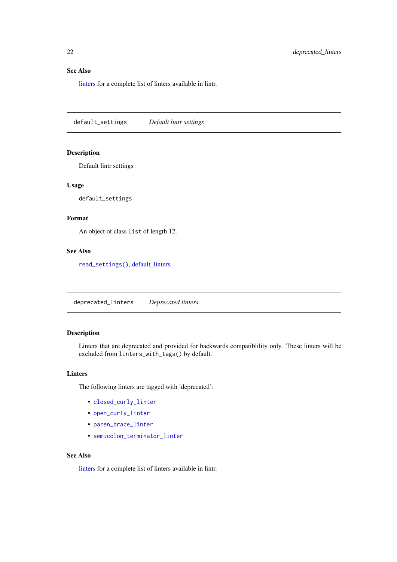#### <span id="page-21-0"></span>See Also

[linters](#page-41-1) for a complete list of linters available in lintr.

default\_settings *Default lintr settings*

# Description

Default lintr settings

## Usage

default\_settings

# Format

An object of class list of length 12.

# See Also

[read\\_settings\(\)](#page-60-1), [default\\_linters](#page-20-1)

<span id="page-21-1"></span>deprecated\_linters *Deprecated linters*

# Description

Linters that are deprecated and provided for backwards compatiblility only. These linters will be excluded from linters\_with\_tags() by default.

# Linters

The following linters are tagged with 'deprecated':

- [closed\\_curly\\_linter](#page-14-1)
- [open\\_curly\\_linter](#page-53-2)
- [paren\\_brace\\_linter](#page-56-1)
- [semicolon\\_terminator\\_linter](#page-63-3)

## See Also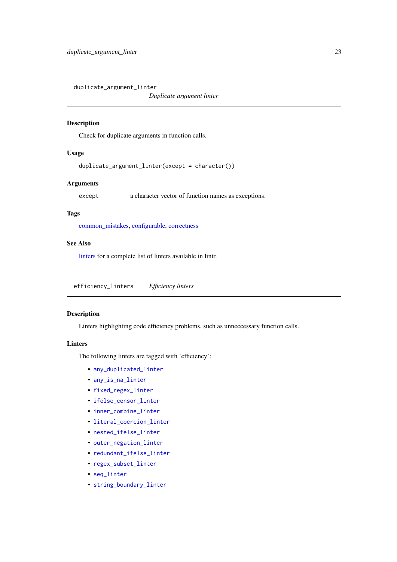<span id="page-22-2"></span><span id="page-22-0"></span>duplicate\_argument\_linter

*Duplicate argument linter*

## Description

Check for duplicate arguments in function calls.

## Usage

duplicate\_argument\_linter(except = character())

#### Arguments

except a character vector of function names as exceptions.

## Tags

[common\\_mistakes,](#page-15-2) [configurable,](#page-16-1) [correctness](#page-19-2)

## See Also

[linters](#page-41-1) for a complete list of linters available in lintr.

<span id="page-22-1"></span>efficiency\_linters *Efficiency linters*

### Description

Linters highlighting code efficiency problems, such as unneccessary function calls.

## Linters

The following linters are tagged with 'efficiency':

- [any\\_duplicated\\_linter](#page-7-1)
- [any\\_is\\_na\\_linter](#page-8-1)
- [fixed\\_regex\\_linter](#page-32-1)
- ifelse censor linter
- [inner\\_combine\\_linter](#page-36-1)
- [literal\\_coercion\\_linter](#page-46-1)
- [nested\\_ifelse\\_linter](#page-48-2)
- [outer\\_negation\\_linter](#page-53-1)
- [redundant\\_ifelse\\_linter](#page-61-1)
- [regex\\_subset\\_linter](#page-61-2)
- [seq\\_linter](#page-63-1)
- [string\\_boundary\\_linter](#page-66-1)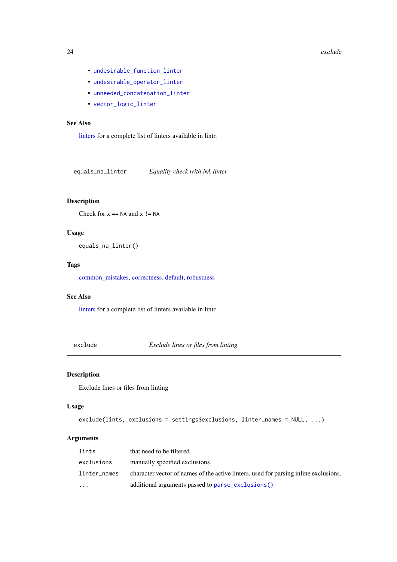- <span id="page-23-0"></span>• [undesirable\\_function\\_linter](#page-71-1)
- [undesirable\\_operator\\_linter](#page-71-2)
- [unneeded\\_concatenation\\_linter](#page-72-1)
- [vector\\_logic\\_linter](#page-75-1)

# See Also

[linters](#page-41-1) for a complete list of linters available in lintr.

<span id="page-23-1"></span>equals\_na\_linter *Equality check with NA linter*

# Description

Check for  $x == NA$  and  $x != NA$ 

# Usage

equals\_na\_linter()

# Tags

[common\\_mistakes,](#page-15-2) [correctness,](#page-19-2) [default,](#page-20-1) [robustness](#page-62-1)

# See Also

[linters](#page-41-1) for a complete list of linters available in lintr.

exclude *Exclude lines or files from linting*

# Description

Exclude lines or files from linting

## Usage

```
exclude(lints, exclusions = settings$exclusions, linter_names = NULL, ...)
```
# Arguments

| lints        | that need to be filtered.                                                            |
|--------------|--------------------------------------------------------------------------------------|
| exclusions   | manually specified exclusions                                                        |
| linter_names | character vector of names of the active linters, used for parsing inline exclusions. |
| $\cdots$     | additional arguments passed to parse_exclusions()                                    |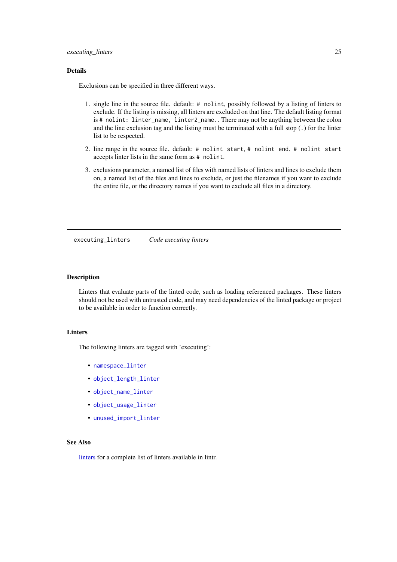#### <span id="page-24-0"></span>executing\_linters 25

## Details

Exclusions can be specified in three different ways.

- 1. single line in the source file. default: # nolint, possibly followed by a listing of linters to exclude. If the listing is missing, all linters are excluded on that line. The default listing format is # nolint: linter\_name, linter2\_name.. There may not be anything between the colon and the line exclusion tag and the listing must be terminated with a full stop (.) for the linter list to be respected.
- 2. line range in the source file. default: # nolint start, # nolint end. # nolint start accepts linter lists in the same form as # nolint.
- 3. exclusions parameter, a named list of files with named lists of linters and lines to exclude them on, a named list of the files and lines to exclude, or just the filenames if you want to exclude the entire file, or the directory names if you want to exclude all files in a directory.

executing\_linters *Code executing linters*

## **Description**

Linters that evaluate parts of the linted code, such as loading referenced packages. These linters should not be used with untrusted code, and may need dependencies of the linted package or project to be available in order to function correctly.

# Linters

The following linters are tagged with 'executing':

- [namespace\\_linter](#page-48-1)
- [object\\_length\\_linter](#page-51-1)
- [object\\_name\\_linter](#page-51-2)
- [object\\_usage\\_linter](#page-52-1)
- [unused\\_import\\_linter](#page-73-2)

## See Also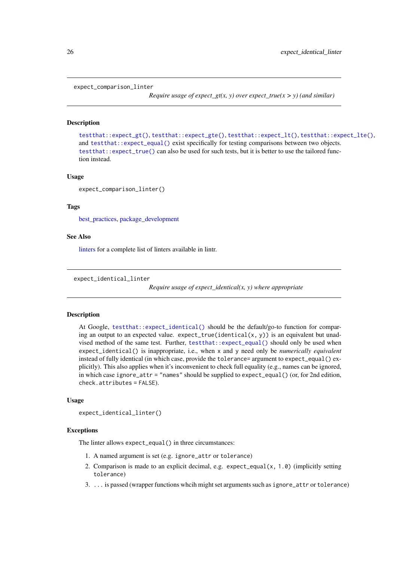```
expect_comparison_linter
```
*Require usage of expect\_gt(x, y) over expect\_true(x > y) (and similar)*

## Description

[testthat::expect\\_gt\(\)](#page-0-0), [testthat::expect\\_gte\(\)](#page-0-0), [testthat::expect\\_lt\(\)](#page-0-0), [testthat::expect\\_lte\(\)](#page-0-0), and [testthat::expect\\_equal\(\)](#page-0-0) exist specifically for testing comparisons between two objects. [testthat::expect\\_true\(\)](#page-0-0) can also be used for such tests, but it is better to use the tailored function instead.

#### Usage

expect comparison linter()

## Tags

best practices, package development

## See Also

[linters](#page-41-1) for a complete list of linters available in lintr.

```
expect_identical_linter
```
*Require usage of expect\_identical(x, y) where appropriate*

## Description

At Google, [testthat::expect\\_identical\(\)](#page-0-0) should be the default/go-to function for comparing an output to an expected value. expect\_true(identical(x, y)) is an equivalent but unadvised method of the same test. Further, [testthat::expect\\_equal\(\)](#page-0-0) should only be used when expect\_identical() is inappropriate, i.e., when x and y need only be *numerically equivalent* instead of fully identical (in which case, provide the tolerance= argument to expect\_equal() explicitly). This also applies when it's inconvenient to check full equality (e.g., names can be ignored, in which case ignore\_attr = "names" should be supplied to expect\_equal() (or, for 2nd edition, check.attributes = FALSE).

## Usage

```
expect_identical_linter()
```
#### **Exceptions**

The linter allows expect\_equal() in three circumstances:

- 1. A named argument is set (e.g. ignore\_attr or tolerance)
- 2. Comparison is made to an explicit decimal, e.g. expect\_equal(x,  $1.0$ ) (implicitly setting tolerance)
- 3. ... is passed (wrapper functions whcih might set arguments such as ignore\_attr or tolerance)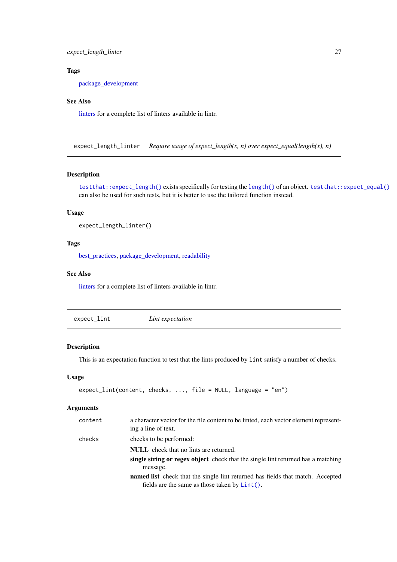<span id="page-26-0"></span>expect\_length\_linter 27

# Tags

[package\\_development](#page-54-1)

# See Also

[linters](#page-41-1) for a complete list of linters available in lintr.

<span id="page-26-1"></span>expect\_length\_linter *Require usage of expect\_length(x, n) over expect\_equal(length(x), n)*

# Description

[testthat::expect\\_length\(\)](#page-0-0) exists specifically for testing the [length\(\)](#page-0-0) of an object. [testthat::expect\\_equal\(\)](#page-0-0) can also be used for such tests, but it is better to use the tailored function instead.

## Usage

```
expect_length_linter()
```
## Tags

[best\\_practices,](#page-10-1) [package\\_development,](#page-54-1) [readability](#page-59-1)

# See Also

[linters](#page-41-1) for a complete list of linters available in lintr.

|--|--|--|--|

# Description

This is an expectation function to test that the lints produced by lint satisfy a number of checks.

## Usage

```
expect_lint(content, checks, ..., file = NULL, language = "en")
```
## Arguments

| content | a character vector for the file content to be linted, each vector element represent-<br>ing a line of text.                               |
|---------|-------------------------------------------------------------------------------------------------------------------------------------------|
| checks  | checks to be performed:                                                                                                                   |
|         | <b>NULL</b> check that no lints are returned.                                                                                             |
|         | single string or regex object check that the single lint returned has a matching<br>message.                                              |
|         | <b>named list</b> check that the single lint returned has fields that match. Accepted<br>fields are the same as those taken by $Lint()$ . |
|         |                                                                                                                                           |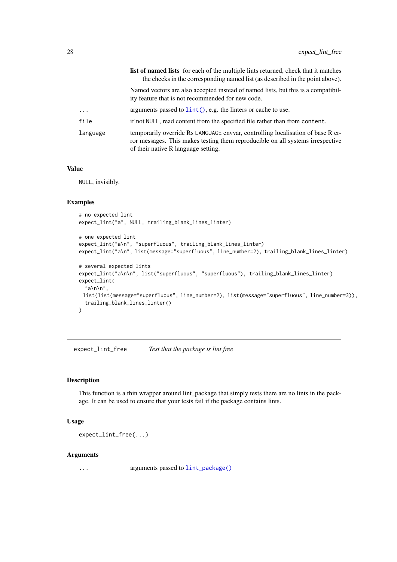<span id="page-27-0"></span>

|          | <b>list of named lists</b> for each of the multiple lints returned, check that it matches<br>the checks in the corresponding named list (as described in the point above).                               |
|----------|----------------------------------------------------------------------------------------------------------------------------------------------------------------------------------------------------------|
|          | Named vectors are also accepted instead of named lists, but this is a compatibil-<br>ity feature that is not recommended for new code.                                                                   |
| $\cdots$ | arguments passed to $\text{lint}()$ , e.g. the linters or cache to use.                                                                                                                                  |
| file     | if not NULL, read content from the specified file rather than from content.                                                                                                                              |
| language | temporarily override Rs LANGUAGE envoar, controlling localisation of base R er-<br>ror messages. This makes testing them reproducible on all systems irrespective<br>of their native R language setting. |

# Value

NULL, invisibly.

## Examples

```
# no expected lint
expect_lint("a", NULL, trailing_blank_lines_linter)
# one expected lint
expect_lint("a\n", "superfluous", trailing_blank_lines_linter)
expect_lint("a\n", list(message="superfluous", line_number=2), trailing_blank_lines_linter)
# several expected lints
expect_lint("a\n\n", list("superfluous", "superfluous"), trailing_blank_lines_linter)
expect_lint(
  "a\n\n",
 list(list(message="superfluous", line_number=2), list(message="superfluous", line_number=3)),
  trailing_blank_lines_linter()
\lambda
```
expect\_lint\_free *Test that the package is lint free*

# Description

This function is a thin wrapper around lint\_package that simply tests there are no lints in the package. It can be used to ensure that your tests fail if the package contains lints.

# Usage

expect\_lint\_free(...)

#### Arguments

... arguments passed to [lint\\_package\(\)](#page-38-2)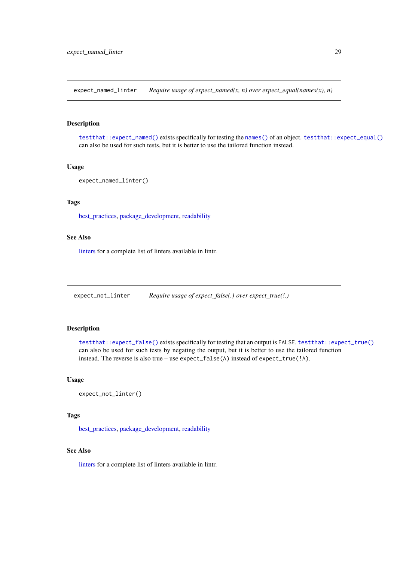<span id="page-28-1"></span><span id="page-28-0"></span>expect\_named\_linter *Require usage of expect\_named(x, n) over expect\_equal(names(x), n)*

# Description

[testthat::expect\\_named\(\)](#page-0-0) exists specifically for testing the [names\(\)](#page-0-0) of an object. [testthat::expect\\_equal\(\)](#page-0-0) can also be used for such tests, but it is better to use the tailored function instead.

# Usage

```
expect_named_linter()
```
# Tags

[best\\_practices,](#page-10-1) [package\\_development,](#page-54-1) [readability](#page-59-1)

## See Also

[linters](#page-41-1) for a complete list of linters available in lintr.

<span id="page-28-2"></span>expect\_not\_linter *Require usage of expect\_false(.) over expect\_true(!.)*

# Description

[testthat::expect\\_false\(\)](#page-0-0) exists specifically for testing that an output is FALSE. [testthat::expect\\_true\(\)](#page-0-0) can also be used for such tests by negating the output, but it is better to use the tailored function instead. The reverse is also true – use expect\_false(A) instead of expect\_true(!A).

# Usage

```
expect_not_linter()
```
# Tags

[best\\_practices,](#page-10-1) [package\\_development,](#page-54-1) [readability](#page-59-1)

# See Also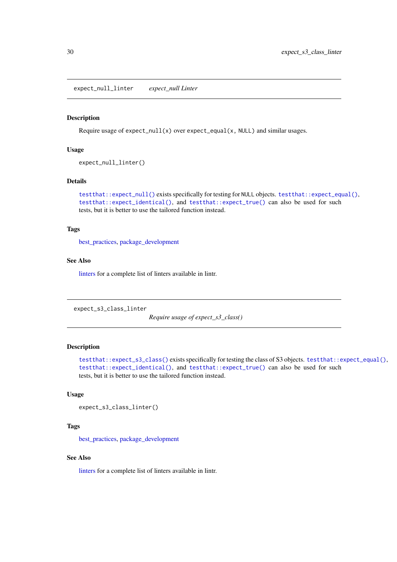<span id="page-29-1"></span><span id="page-29-0"></span>expect\_null\_linter *expect\_null Linter*

#### Description

Require usage of expect\_null(x) over expect\_equal(x, NULL) and similar usages.

# Usage

```
expect_null_linter()
```
## Details

```
testthat::expect_null() exists specifically for testing for NULL objects. testthat::expect_equal(),
testthat::expect_identical(), and testthat::expect_true() can also be used for such
tests, but it is better to use the tailored function instead.
```
# Tags

[best\\_practices,](#page-10-1) [package\\_development](#page-54-1)

## See Also

[linters](#page-41-1) for a complete list of linters available in lintr.

<span id="page-29-2"></span>expect\_s3\_class\_linter

*Require usage of expect\_s3\_class()*

# Description

```
testthat::expect_s3_class() exists specifically for testing the class of S3 objects. testthat::expect_equal(),
testthat::expect_identical(), and testthat::expect_true() can also be used for such
tests, but it is better to use the tailored function instead.
```
## Usage

```
expect_s3_class_linter()
```
# Tags

[best\\_practices,](#page-10-1) [package\\_development](#page-54-1)

## See Also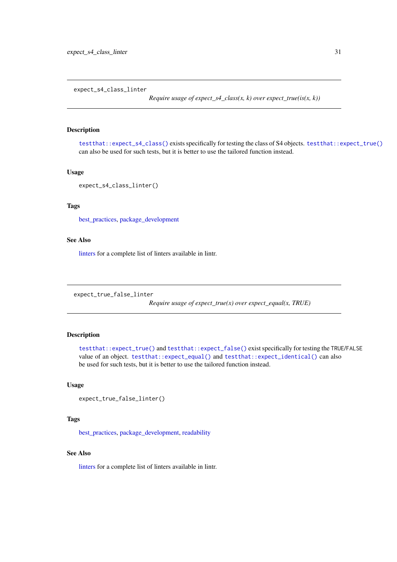<span id="page-30-1"></span><span id="page-30-0"></span>expect\_s4\_class\_linter

*Require usage of expect\_s4\_class(x, k) over expect\_true(is(x, k))* 

# Description

[testthat::expect\\_s4\\_class\(\)](#page-0-0) exists specifically for testing the class of S4 objects. [testthat::expect\\_true\(\)](#page-0-0) can also be used for such tests, but it is better to use the tailored function instead.

# Usage

```
expect_s4_class_linter()
```
## Tags

[best\\_practices,](#page-10-1) [package\\_development](#page-54-1)

## See Also

[linters](#page-41-1) for a complete list of linters available in lintr.

<span id="page-30-2"></span>expect\_true\_false\_linter

*Require usage of expect\_true(x) over expect\_equal(x, TRUE)*

# Description

[testthat::expect\\_true\(\)](#page-0-0) and [testthat::expect\\_false\(\)](#page-0-0) exist specifically for testing the TRUE/FALSE value of an object. [testthat::expect\\_equal\(\)](#page-0-0) and [testthat::expect\\_identical\(\)](#page-0-0) can also be used for such tests, but it is better to use the tailored function instead.

## Usage

```
expect_true_false_linter()
```
# Tags

[best\\_practices,](#page-10-1) [package\\_development,](#page-54-1) [readability](#page-59-1)

## See Also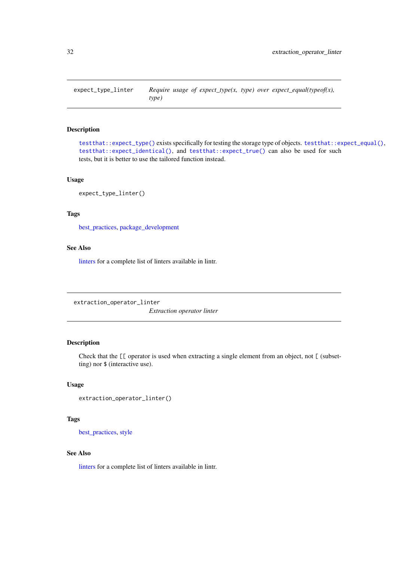<span id="page-31-1"></span><span id="page-31-0"></span>

# Description

[testthat::expect\\_type\(\)](#page-0-0) exists specifically for testing the storage type of objects. [testthat::expect\\_equal\(\)](#page-0-0), [testthat::expect\\_identical\(\)](#page-0-0), and [testthat::expect\\_true\(\)](#page-0-0) can also be used for such tests, but it is better to use the tailored function instead.

## Usage

expect\_type\_linter()

# Tags

[best\\_practices,](#page-10-1) [package\\_development](#page-54-1)

# See Also

[linters](#page-41-1) for a complete list of linters available in lintr.

<span id="page-31-2"></span>extraction\_operator\_linter

*Extraction operator linter*

## Description

Check that the  $[\ ]$  operator is used when extracting a single element from an object, not  $[$  (subsetting) nor \$ (interactive use).

# Usage

```
extraction_operator_linter()
```
# Tags

[best\\_practices,](#page-10-1) [style](#page-67-1)

## See Also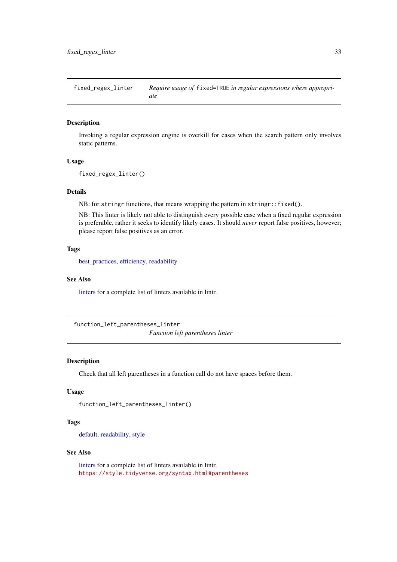<span id="page-32-1"></span><span id="page-32-0"></span>fixed\_regex\_linter *Require usage of* fixed=TRUE *in regular expressions where appropriate*

## Description

Invoking a regular expression engine is overkill for cases when the search pattern only involves static patterns.

### Usage

```
fixed_regex_linter()
```
# Details

NB: for stringr functions, that means wrapping the pattern in stringr::fixed().

NB: This linter is likely not able to distinguish every possible case when a fixed regular expression is preferable, rather it seeks to identify likely cases. It should *never* report false positives, however; please report false positives as an error.

# Tags

[best\\_practices,](#page-10-1) [efficiency,](#page-22-1) [readability](#page-59-1)

#### See Also

[linters](#page-41-1) for a complete list of linters available in lintr.

<span id="page-32-2"></span>function\_left\_parentheses\_linter *Function left parentheses linter*

# Description

Check that all left parentheses in a function call do not have spaces before them.

# Usage

```
function_left_parentheses_linter()
```
# Tags

[default,](#page-20-1) [readability,](#page-59-1) [style](#page-67-1)

## See Also

[linters](#page-41-1) for a complete list of linters available in lintr. <https://style.tidyverse.org/syntax.html#parentheses>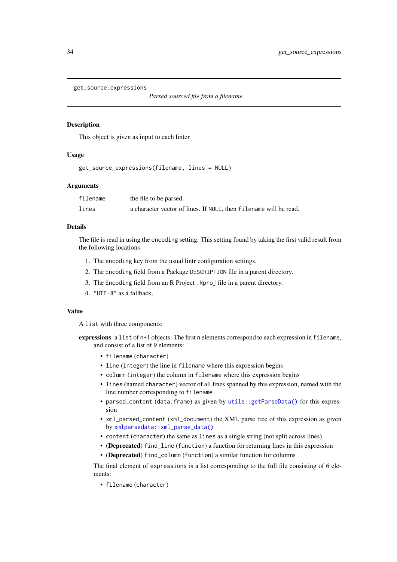```
get_source_expressions
```

```
Parsed sourced file from a filename
```
# Description

This object is given as input to each linter

## Usage

```
get_source_expressions(filename, lines = NULL)
```
# Arguments

| filename | the file to be parsed.                                            |
|----------|-------------------------------------------------------------------|
| lines    | a character vector of lines. If NULL, then filename will be read. |

# Details

The file is read in using the encoding setting. This setting found by taking the first valid result from the following locations

- 1. The encoding key from the usual lintr configuration settings.
- 2. The Encoding field from a Package DESCRIPTION file in a parent directory.
- 3. The Encoding field from an R Project .Rproj file in a parent directory.
- 4. "UTF-8" as a fallback.

## Value

A list with three components:

- expressions a list of n+1 objects. The first n elements correspond to each expression in filename, and consist of a list of 9 elements:
	- filename (character)
	- line (integer) the line in filename where this expression begins
	- column (integer) the column in filename where this expression begins
	- lines (named character) vector of all lines spanned by this expression, named with the line number corresponding to filename
	- parsed\_content (data.frame) as given by [utils::getParseData\(\)](#page-0-0) for this expression
	- xml\_parsed\_content (xml\_document) the XML parse tree of this expression as given by [xmlparsedata::xml\\_parse\\_data\(\)](#page-0-0)
	- content (character) the same as lines as a single string (not split across lines)
	- (Deprecated) find\_line (function) a function for returning lines in this expression
	- (Deprecated) find\_column (function) a similar function for columns

The final element of expressions is a list corresponding to the full file consisting of 6 elements:

• filename (character)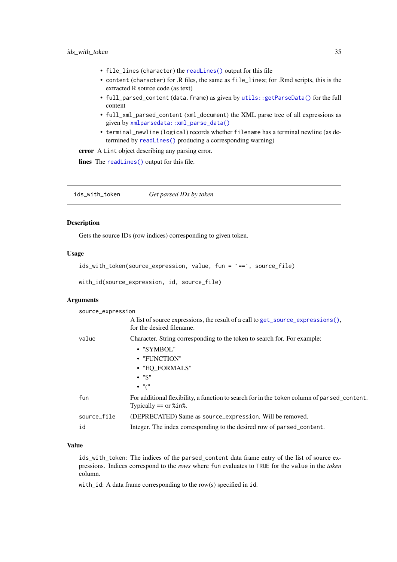- <span id="page-34-0"></span>• file\_lines (character) the [readLines\(\)](#page-0-0) output for this file
- content (character) for .R files, the same as file\_lines; for .Rmd scripts, this is the extracted R source code (as text)
- full\_parsed\_content (data.frame) as given by [utils::getParseData\(\)](#page-0-0) for the full content
- full\_xml\_parsed\_content (xml\_document) the XML parse tree of all expressions as given by [xmlparsedata::xml\\_parse\\_data\(\)](#page-0-0)
- terminal\_newline (logical) records whether filename has a terminal newline (as determined by [readLines\(\)](#page-0-0) producing a corresponding warning)

error A Lint object describing any parsing error.

lines The [readLines\(\)](#page-0-0) output for this file.

ids\_with\_token *Get parsed IDs by token*

# Description

Gets the source IDs (row indices) corresponding to given token.

## Usage

```
ids_with_token(source_expression, value, fun = `==`, source_file)
```
with\_id(source\_expression, id, source\_file)

## Arguments

| source_expression |                                                                                                                                                           |
|-------------------|-----------------------------------------------------------------------------------------------------------------------------------------------------------|
|                   | A list of source expressions, the result of a call to get_source_expressions(),<br>for the desired filename.                                              |
| value             | Character. String corresponding to the token to search for. For example:<br>• "SYMBOL"<br>• "FUNCTION"<br>• "EQ FORMALS"<br>$\cdot$ "\$"<br>$\bullet$ "(" |
| fun               | For additional flexibility, a function to search for in the token column of parsed_content.<br>Typically $==$ or $%$ in%.                                 |
| source_file<br>id | (DEPRECATED) Same as source_expression. Will be removed.<br>Integer. The index corresponding to the desired row of parsed_content.                        |
|                   |                                                                                                                                                           |

## Value

ids\_with\_token: The indices of the parsed\_content data frame entry of the list of source expressions. Indices correspond to the *rows* where fun evaluates to TRUE for the value in the *token* column.

with\_id: A data frame corresponding to the row(s) specified in id.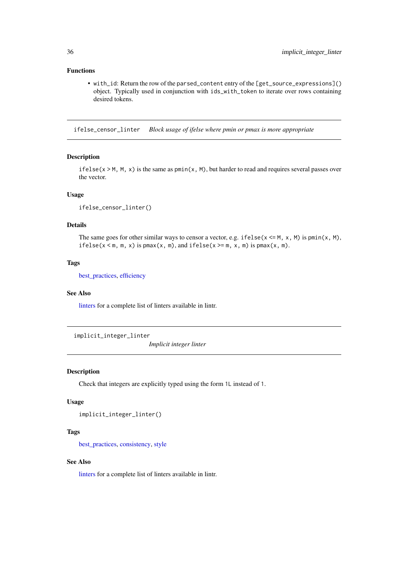## <span id="page-35-0"></span>Functions

• with\_id: Return the row of the parsed\_content entry of the [get\_source\_expressions]() object. Typically used in conjunction with ids\_with\_token to iterate over rows containing desired tokens.

<span id="page-35-1"></span>ifelse\_censor\_linter *Block usage of ifelse where pmin or pmax is more appropriate*

## Description

ifelse( $x > M$ ,  $M$ ,  $x$ ) is the same as  $pmin(x, M)$ , but harder to read and requires several passes over the vector.

## Usage

ifelse\_censor\_linter()

# Details

The same goes for other similar ways to censor a vector, e.g. if else( $x \le M$ , x, M) is pmin(x, M), ifelse( $x < m$ ,  $m$ ,  $x$ ) is pmax( $x$ ,  $m$ ), and ifelse( $x > = m$ ,  $x$ ,  $m$ ) is pmax( $x$ ,  $m$ ).

# Tags

[best\\_practices,](#page-10-1) [efficiency](#page-22-1)

## See Also

[linters](#page-41-1) for a complete list of linters available in lintr.

<span id="page-35-2"></span>implicit\_integer\_linter

*Implicit integer linter*

## Description

Check that integers are explicitly typed using the form 1L instead of 1.

#### Usage

```
implicit_integer_linter()
```
## Tags

[best\\_practices,](#page-10-1) [consistency,](#page-18-1) [style](#page-67-1)

## See Also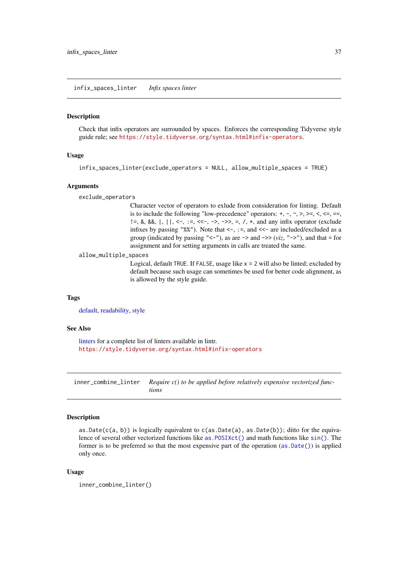<span id="page-36-0"></span>infix\_spaces\_linter *Infix spaces linter*

## Description

Check that infix operators are surrounded by spaces. Enforces the corresponding Tidyverse style guide rule; see <https://style.tidyverse.org/syntax.html#infix-operators>.

## Usage

```
infix_spaces_linter(exclude_operators = NULL, allow_multiple_spaces = TRUE)
```
# Arguments

exclude\_operators

Character vector of operators to exlude from consideration for linting. Default is to include the following "low-precedence" operators:  $+, -, \sim, \gt, \gt, \ll, \lt =, \ll, \ll, \ll$ !=, &, &&, |, ||, <-, :=, <<-, ->, ->>, =, /, \*, and any infix operator (exclude infixes by passing "%%"). Note that  $\leq$ -, :=, and  $\leq$ - are included/excluded as a group (indicated by passing " $\langle -1 \rangle$ "), as are  $\langle -2 \rangle$  and  $\langle viz, "-\rangle$ "), and that = for assignment and for setting arguments in calls are treated the same.

allow\_multiple\_spaces

Logical, default TRUE. If FALSE, usage like  $x = 2$  will also be linted; excluded by default because such usage can sometimes be used for better code alignment, as is allowed by the style guide.

#### Tags

[default,](#page-20-0) [readability,](#page-59-0) [style](#page-67-0)

#### See Also

[linters](#page-41-0) for a complete list of linters available in lintr. <https://style.tidyverse.org/syntax.html#infix-operators>

<span id="page-36-1"></span>inner\_combine\_linter *Require c() to be applied before relatively expensive vectorized functions*

## Description

as. Date(c(a, b)) is logically equivalent to  $c$ (as. Date(a), as. Date(b)); ditto for the equivalence of several other vectorized functions like [as.POSIXct\(\)](#page-0-0) and math functions like [sin\(\)](#page-0-0). The former is to be preferred so that the most expensive part of the operation ([as.Date\(\)](#page-0-0)) is applied only once.

# Usage

```
inner_combine_linter()
```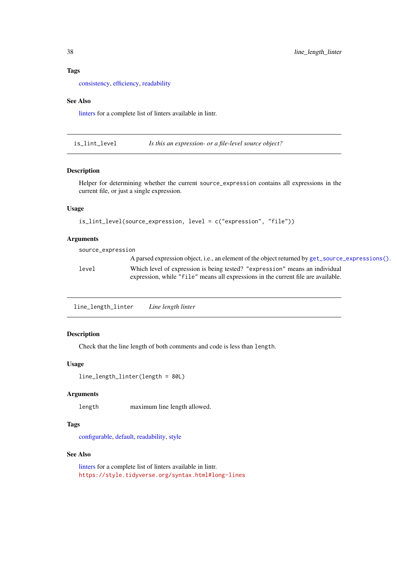#### Tags

[consistency,](#page-18-0) [efficiency,](#page-22-0) [readability](#page-59-0)

#### See Also

[linters](#page-41-0) for a complete list of linters available in lintr.

is\_lint\_level *Is this an expression- or a file-level source object?*

#### Description

Helper for determining whether the current source\_expression contains all expressions in the current file, or just a single expression.

# Usage

```
is_lint_level(source_expression, level = c("expression", "file"))
```
# Arguments

source\_expression A parsed expression object, i.e., an element of the object returned by [get\\_source\\_expressions\(\)](#page-33-0). level Which level of expression is being tested? "expression" means an individual expression, while "file" means all expressions in the current file are available.

<span id="page-37-0"></span>line\_length\_linter *Line length linter*

# Description

Check that the line length of both comments and code is less than length.

# Usage

```
line_length_linter(length = 80L)
```
## Arguments

length maximum line length allowed.

## Tags

[configurable,](#page-16-0) [default,](#page-20-0) [readability,](#page-59-0) [style](#page-67-0)

# See Also

[linters](#page-41-0) for a complete list of linters available in lintr. <https://style.tidyverse.org/syntax.html#long-lines>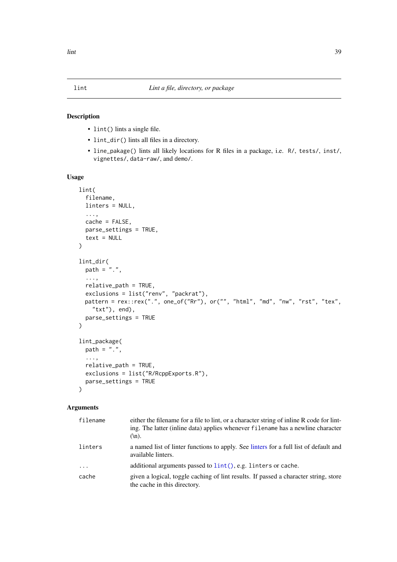## <span id="page-38-0"></span>Description

- lint() lints a single file.
- lint\_dir() lints all files in a directory.
- line\_pakage() lints all likely locations for R files in a package, i.e. R/, tests/, inst/, vignettes/, data-raw/, and demo/.

# Usage

```
lint(
  filename,
  linters = NULL,
  ...,
  cache = FALSE,
  parse_settings = TRUE,
  text = NULL
\lambdalint_dir(
  path = ".",
  ...,
  relative_path = TRUE,
  exclusions = list("renv", "packrat"),
  pattern = rex::rex(".", one_of("Rr"), or("", "html", "md", "nw", "rst", "tex",
    "txt"), end),
  parse_settings = TRUE
)
lint_package(
  path = ".'',...,
  relative_path = TRUE,
  exclusions = list("R/RcppExports.R"),
  parse_settings = TRUE
\lambda
```
# Arguments

| filename | either the filename for a file to lint, or a character string of inline R code for lint-<br>ing. The latter (inline data) applies whenever filename has a newline character<br>$(\ln).$ |
|----------|-----------------------------------------------------------------------------------------------------------------------------------------------------------------------------------------|
| linters  | a named list of linter functions to apply. See linters for a full list of default and<br>available linters.                                                                             |
| $\cdots$ | additional arguments passed to lint(), e.g. linters or cache.                                                                                                                           |
| cache    | given a logical, toggle caching of lint results. If passed a character string, store<br>the cache in this directory.                                                                    |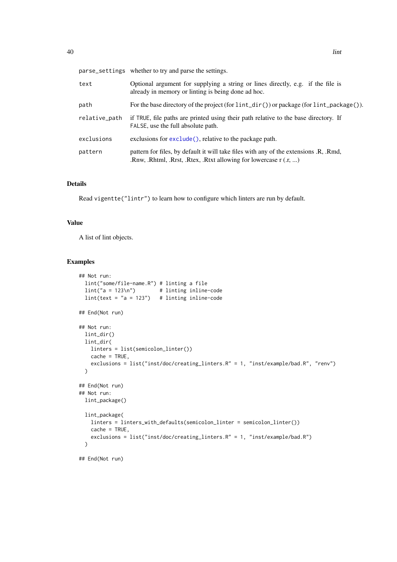|               | parse_settings whether to try and parse the settings.                                                                                                              |
|---------------|--------------------------------------------------------------------------------------------------------------------------------------------------------------------|
| text          | Optional argument for supplying a string or lines directly, e.g. if the file is<br>already in memory or linting is being done ad hoc.                              |
| path          | For the base directory of the project (for $\text{lint\_dir}()$ ) or package (for $\text{lint\_package}()$ ).                                                      |
| relative_path | if TRUE, file paths are printed using their path relative to the base directory. If<br>FALSE, use the full absolute path.                                          |
| exclusions    | exclusions for exclude(), relative to the package path.                                                                                                            |
| pattern       | pattern for files, by default it will take files with any of the extensions .R, .Rmd,<br>.Rnw, .Rhtml, .Rrst, .Rtex, .Rtxt allowing for lowercase $r(x, \ldots)$ . |

#### Details

Read vigentte("lintr") to learn how to configure which linters are run by default.

# Value

A list of lint objects.

# Examples

```
## Not run:
 lint("some/file-name.R") # linting a file
 \text{lint}("a = 123\n") # linting inline-code
 \text{lint}(\text{text} = "a = 123") # linting inline-code
## End(Not run)
## Not run:
 lint_dir()
 lint_dir(
    linters = list(semicolon_linter())
    cache = TRUE,
    exclusions = list("inst/doc/creating_linters.R" = 1, "inst/example/bad.R", "renv")
  \lambda## End(Not run)
## Not run:
 lint_package()
  lint_package(
    linters = linters_with_defaults(semicolon_linter = semicolon_linter())
    cache = TRUE,exclusions = list("inst/doc/creating_linters.R" = 1, "inst/example/bad.R")
  \lambda
```
## End(Not run)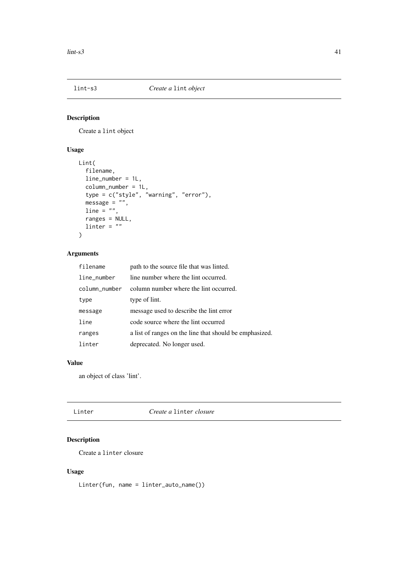# Description

Create a lint object

# Usage

```
Lint(
  filename,
  line_number = 1L,
  column_number = 1L,
  type = c("style", "warning", "error"),
  message = "",line = "",ranges = NULL,
 line = "")
```
# Arguments

| filename      | path to the source file that was linted.                |
|---------------|---------------------------------------------------------|
| line_number   | line number where the lint occurred.                    |
| column number | column number where the lint occurred.                  |
| type          | type of lint.                                           |
| message       | message used to describe the lint error                 |
| line          | code source where the lint occurred                     |
| ranges        | a list of ranges on the line that should be emphasized. |
| linter        | deprecated. No longer used.                             |

# Value

an object of class 'lint'.

Linter *Create a* linter *closure*

# Description

Create a linter closure

# Usage

Linter(fun, name = linter\_auto\_name())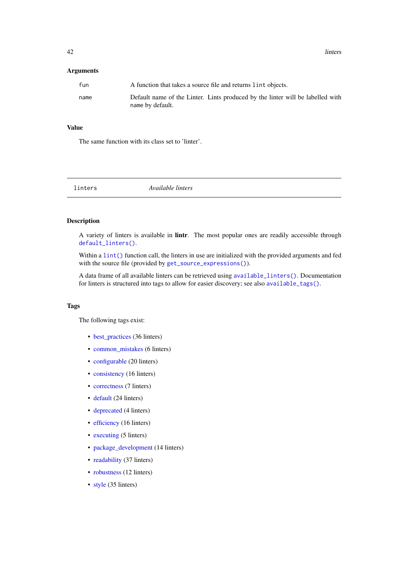# Arguments

| fun  | A function that takes a source file and returns lint objects.                                      |
|------|----------------------------------------------------------------------------------------------------|
| name | Default name of the Linter. Lints produced by the linter will be labelled with<br>name by default. |

## Value

The same function with its class set to 'linter'.

<span id="page-41-0"></span>linters *Available linters*

# Description

A variety of linters is available in lintr. The most popular ones are readily accessible through [default\\_linters\(\)](#page-20-0).

Within a [lint\(\)](#page-38-0) function call, the linters in use are initialized with the provided arguments and fed with the source file (provided by [get\\_source\\_expressions\(\)](#page-33-0)).

A data frame of all available linters can be retrieved using [available\\_linters\(\)](#page-9-0). Documentation for linters is structured into tags to allow for easier discovery; see also [available\\_tags\(\)](#page-9-1).

## Tags

The following tags exist:

- [best\\_practices](#page-10-0) (36 linters)
- [common\\_mistakes](#page-15-0) (6 linters)
- [configurable](#page-16-0) (20 linters)
- [consistency](#page-18-0) (16 linters)
- [correctness](#page-19-0) (7 linters)
- [default](#page-20-0) (24 linters)
- [deprecated](#page-21-0) (4 linters)
- [efficiency](#page-22-0) (16 linters)
- [executing](#page-24-0) (5 linters)
- [package\\_development](#page-54-0) (14 linters)
- [readability](#page-59-0) (37 linters)
- [robustness](#page-62-0) (12 linters)
- [style](#page-67-0) (35 linters)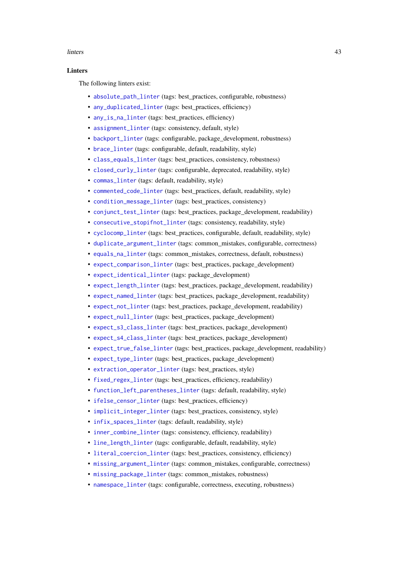#### linters and the set of the set of the set of the set of the set of the set of the set of the set of the set of the set of the set of the set of the set of the set of the set of the set of the set of the set of the set of t

#### **Linters**

The following linters exist:

- [absolute\\_path\\_linter](#page-5-0) (tags: best\_practices, configurable, robustness)
- [any\\_duplicated\\_linter](#page-7-0) (tags: best practices, efficiency)
- [any\\_is\\_na\\_linter](#page-8-0) (tags: best\_practices, efficiency)
- [assignment\\_linter](#page-8-1) (tags: consistency, default, style)
- [backport\\_linter](#page-10-1) (tags: configurable, package\_development, robustness)
- [brace\\_linter](#page-12-0) (tags: configurable, default, readability, style)
- [class\\_equals\\_linter](#page-13-0) (tags: best\_practices, consistency, robustness)
- [closed\\_curly\\_linter](#page-14-0) (tags: configurable, deprecated, readability, style)
- [commas\\_linter](#page-14-1) (tags: default, readability, style)
- [commented\\_code\\_linter](#page-15-1) (tags: best\_practices, default, readability, style)
- [condition\\_message\\_linter](#page-16-1) (tags: best\_practices, consistency)
- [conjunct\\_test\\_linter](#page-17-0) (tags: best practices, package development, readability)
- [consecutive\\_stopifnot\\_linter](#page-18-1) (tags: consistency, readability, style)
- [cyclocomp\\_linter](#page-19-1) (tags: best practices, configurable, default, readability, style)
- [duplicate\\_argument\\_linter](#page-22-1) (tags: common mistakes, configurable, correctness)
- [equals\\_na\\_linter](#page-23-1) (tags: common mistakes, correctness, default, robustness)
- expect comparison linter (tags: best practices, package development)
- expect identical linter (tags: package development)
- expect length linter (tags: best practices, package development, readability)
- [expect\\_named\\_linter](#page-28-0) (tags: best\_practices, package\_development, readability)
- [expect\\_not\\_linter](#page-28-1) (tags: best\_practices, package\_development, readability)
- [expect\\_null\\_linter](#page-29-0) (tags: best\_practices, package\_development)
- [expect\\_s3\\_class\\_linter](#page-29-1) (tags: best\_practices, package\_development)
- [expect\\_s4\\_class\\_linter](#page-30-0) (tags: best\_practices, package\_development)
- [expect\\_true\\_false\\_linter](#page-30-1) (tags: best practices, package development, readability)
- [expect\\_type\\_linter](#page-31-0) (tags: best\_practices, package\_development)
- [extraction\\_operator\\_linter](#page-31-1) (tags: best\_practices, style)
- [fixed\\_regex\\_linter](#page-32-0) (tags: best\_practices, efficiency, readability)
- [function\\_left\\_parentheses\\_linter](#page-32-1) (tags: default, readability, style)
- [ifelse\\_censor\\_linter](#page-35-0) (tags: best practices, efficiency)
- [implicit\\_integer\\_linter](#page-35-1) (tags: best\_practices, consistency, style)
- [infix\\_spaces\\_linter](#page-36-0) (tags: default, readability, style)
- [inner\\_combine\\_linter](#page-36-1) (tags: consistency, efficiency, readability)
- [line\\_length\\_linter](#page-37-0) (tags: configurable, default, readability, style)
- [literal\\_coercion\\_linter](#page-46-0) (tags: best practices, consistency, efficiency)
- [missing\\_argument\\_linter](#page-46-1) (tags: common\_mistakes, configurable, correctness)
- [missing\\_package\\_linter](#page-47-0) (tags: common\_mistakes, robustness)
- [namespace\\_linter](#page-48-0) (tags: configurable, correctness, executing, robustness)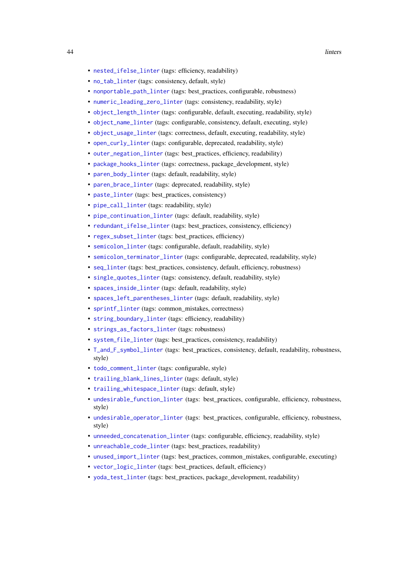- [nested\\_ifelse\\_linter](#page-48-1) (tags: efficiency, readability)
- [no\\_tab\\_linter](#page-50-0) (tags: consistency, default, style)
- [nonportable\\_path\\_linter](#page-49-0) (tags: best\_practices, configurable, robustness)
- [numeric\\_leading\\_zero\\_linter](#page-50-1) (tags: consistency, readability, style)
- [object\\_length\\_linter](#page-51-0) (tags: configurable, default, executing, readability, style)
- [object\\_name\\_linter](#page-51-1) (tags: configurable, consistency, default, executing, style)
- [object\\_usage\\_linter](#page-52-0) (tags: correctness, default, executing, readability, style)
- open curly linter (tags: configurable, deprecated, readability, style)
- [outer\\_negation\\_linter](#page-53-1) (tags: best\_practices, efficiency, readability)
- [package\\_hooks\\_linter](#page-54-1) (tags: correctness, package\_development, style)
- [paren\\_body\\_linter](#page-55-0) (tags: default, readability, style)
- [paren\\_brace\\_linter](#page-56-0) (tags: deprecated, readability, style)
- [paste\\_linter](#page-57-0) (tags: best practices, consistency)
- [pipe\\_call\\_linter](#page-58-0) (tags: readability, style)
- [pipe\\_continuation\\_linter](#page-58-1) (tags: default, readability, style)
- [redundant\\_ifelse\\_linter](#page-61-0) (tags: best\_practices, consistency, efficiency)
- [regex\\_subset\\_linter](#page-61-1) (tags: best\_practices, efficiency)
- [semicolon\\_linter](#page-63-0) (tags: configurable, default, readability, style)
- [semicolon\\_terminator\\_linter](#page-63-1) (tags: configurable, deprecated, readability, style)
- seq linter (tags: best practices, consistency, default, efficiency, robustness)
- [single\\_quotes\\_linter](#page-64-0) (tags: consistency, default, readability, style)
- [spaces\\_inside\\_linter](#page-64-1) (tags: default, readability, style)
- [spaces\\_left\\_parentheses\\_linter](#page-65-0) (tags: default, readability, style)
- [sprintf\\_linter](#page-65-1) (tags: common\_mistakes, correctness)
- [string\\_boundary\\_linter](#page-66-0) (tags: efficiency, readability)
- [strings\\_as\\_factors\\_linter](#page-66-1) (tags: robustness)
- [system\\_file\\_linter](#page-68-0) (tags: best\_practices, consistency, readability)
- [T\\_and\\_F\\_symbol\\_linter](#page-70-0) (tags: best\_practices, consistency, default, readability, robustness, style)
- [todo\\_comment\\_linter](#page-69-0) (tags: configurable, style)
- [trailing\\_blank\\_lines\\_linter](#page-69-1) (tags: default, style)
- [trailing\\_whitespace\\_linter](#page-70-1) (tags: default, style)
- [undesirable\\_function\\_linter](#page-71-0) (tags: best practices, configurable, efficiency, robustness, style)
- [undesirable\\_operator\\_linter](#page-71-1) (tags: best\_practices, configurable, efficiency, robustness, style)
- [unneeded\\_concatenation\\_linter](#page-72-0) (tags: configurable, efficiency, readability, style)
- [unreachable\\_code\\_linter](#page-73-0) (tags: best\_practices, readability)
- [unused\\_import\\_linter](#page-73-1) (tags: best practices, common mistakes, configurable, executing)
- [vector\\_logic\\_linter](#page-75-0) (tags: best\_practices, default, efficiency)
- [yoda\\_test\\_linter](#page-76-0) (tags: best\_practices, package\_development, readability)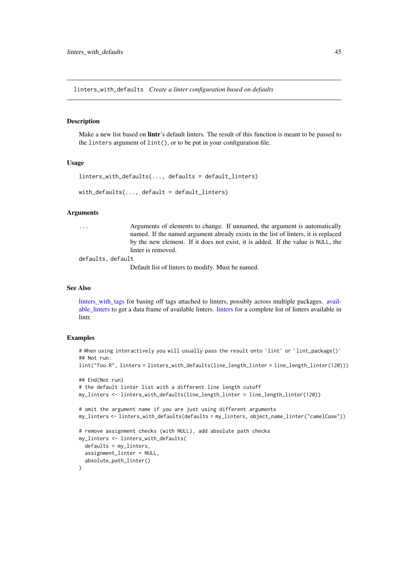<span id="page-44-0"></span>linters\_with\_defaults *Create a linter configuration based on defaults*

#### Description

Make a new list based on **lintr**'s default linters. The result of this function is meant to be passed to the linters argument of lint(), or to be put in your configuration file.

#### Usage

```
limits\_with\_defaults(..., defaults = default\_limits)with\_defaults(..., default = default\_limits)
```
#### Arguments

... Arguments of elements to change. If unnamed, the argument is automatically named. If the named argument already exists in the list of linters, it is replaced by the new element. If it does not exist, it is added. If the value is NULL, the linter is removed.

defaults, default

Default list of linters to modify. Must be named.

## See Also

[linters\\_with\\_tags](#page-45-0) for basing off tags attached to linters, possibly across multiple packages. [avail](#page-9-0)[able\\_linters](#page-9-0) to get a data frame of available linters. [linters](#page-41-0) for a complete list of linters available in lintr.

## Examples

```
# When using interactively you will usually pass the result onto `lint` or `lint_package()`
## Not run:
lint("foo.R", linters = linters_with_defaults(line_length_linter = line_length_linter(120)))
## End(Not run)
# the default linter list with a different line length cutoff
my_linters <- linters_with_defaults(line_length_linter = line_length_linter(120))
# omit the argument name if you are just using different arguments
my_linters <- linters_with_defaults(defaults = my_linters, object_name_linter("camelCase"))
# remove assignment checks (with NULL), add absolute path checks
my_linters <- linters_with_defaults(
  defaults = my_linters,
  assignment_linter = NULL,
  absolute_path_linter()
)
```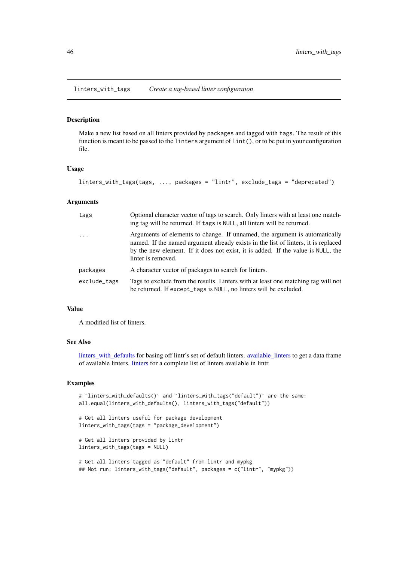<span id="page-45-0"></span>linters\_with\_tags *Create a tag-based linter configuration*

# Description

Make a new list based on all linters provided by packages and tagged with tags. The result of this function is meant to be passed to the linters argument of lint(), or to be put in your configuration file.

# Usage

```
linters_with_tags(tags, ..., packages = "lintr", exclude_tags = "deprecated")
```
# Arguments

| tags         | Optional character vector of tags to search. Only linters with at least one match-<br>ing tag will be returned. If tags is NULL, all linters will be returned.                                                                                                             |
|--------------|----------------------------------------------------------------------------------------------------------------------------------------------------------------------------------------------------------------------------------------------------------------------------|
| $\ddots$ .   | Arguments of elements to change. If unnamed, the argument is automatically<br>named. If the named argument already exists in the list of linters, it is replaced<br>by the new element. If it does not exist, it is added. If the value is NULL, the<br>linter is removed. |
| packages     | A character vector of packages to search for linters.                                                                                                                                                                                                                      |
| exclude_tags | Tags to exclude from the results. Linters with at least one matching tag will not<br>be returned. If except_tags is NULL, no linters will be excluded.                                                                                                                     |

### Value

A modified list of linters.

# See Also

linters with defaults for basing off lintr's set of default linters. available linters to get a data frame of available linters. [linters](#page-41-0) for a complete list of linters available in lintr.

# Examples

```
# `linters_with_defaults()` and `linters_with_tags("default")` are the same:
all.equal(linters_with_defaults(), linters_with_tags("default"))
# Get all linters useful for package development
linters_with_tags(tags = "package_development")
# Get all linters provided by lintr
linters_with_tags(tags = NULL)
# Get all linters tagged as "default" from lintr and mypkg
## Not run: linters_with_tags("default", packages = c("lintr", "mypkg"))
```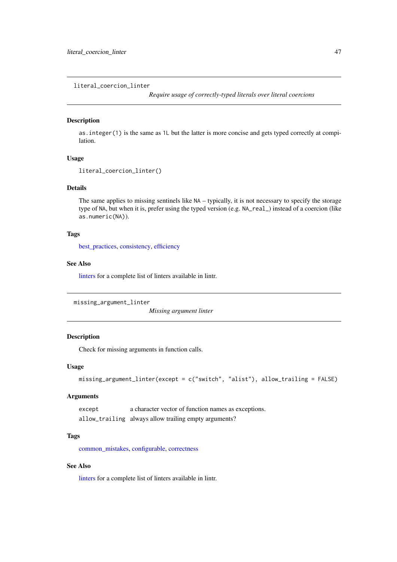<span id="page-46-0"></span>literal\_coercion\_linter

*Require usage of correctly-typed literals over literal coercions*

# Description

as.integer(1) is the same as 1L but the latter is more concise and gets typed correctly at compilation.

#### Usage

```
literal_coercion_linter()
```
# Details

The same applies to missing sentinels like NA – typically, it is not necessary to specify the storage type of NA, but when it is, prefer using the typed version (e.g. NA\_real\_) instead of a coercion (like as.numeric(NA)).

## Tags

[best\\_practices,](#page-10-0) [consistency,](#page-18-0) [efficiency](#page-22-0)

#### See Also

[linters](#page-41-0) for a complete list of linters available in lintr.

<span id="page-46-1"></span>missing\_argument\_linter

*Missing argument linter*

#### Description

Check for missing arguments in function calls.

## Usage

```
missing_argument_linter(except = c("switch", "alist"), allow_trailing = FALSE)
```
#### Arguments

except a character vector of function names as exceptions. allow\_trailing always allow trailing empty arguments?

# Tags

[common\\_mistakes,](#page-15-0) [configurable,](#page-16-0) [correctness](#page-19-0)

# See Also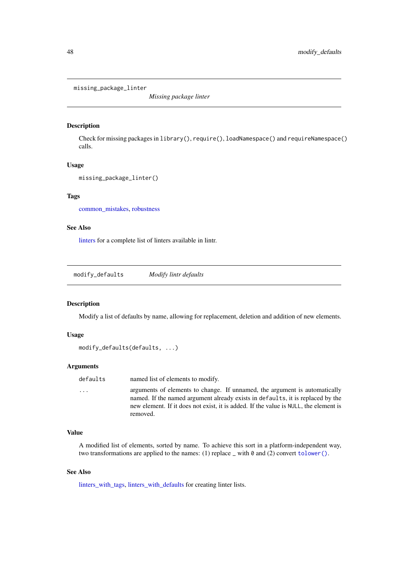<span id="page-47-0"></span>missing\_package\_linter

*Missing package linter*

# Description

Check for missing packages in library(), require(), loadNamespace() and requireNamespace() calls.

## Usage

```
missing_package_linter()
```
# Tags

[common\\_mistakes,](#page-15-0) [robustness](#page-62-0)

# See Also

[linters](#page-41-0) for a complete list of linters available in lintr.

<span id="page-47-1"></span>modify\_defaults *Modify lintr defaults*

# Description

Modify a list of defaults by name, allowing for replacement, deletion and addition of new elements.

# Usage

```
modify_defaults(defaults, ...)
```
# Arguments

defaults named list of elements to modify.

... arguments of elements to change. If unnamed, the argument is automatically named. If the named argument already exists in defaults, it is replaced by the new element. If it does not exist, it is added. If the value is NULL, the element is removed.

#### Value

A modified list of elements, sorted by name. To achieve this sort in a platform-independent way, two transformations are applied to the names: (1) replace  $\bot$  with 0 and (2) convert [tolower\(\)](#page-0-0).

# See Also

[linters\\_with\\_tags,](#page-45-0) [linters\\_with\\_defaults](#page-44-0) for creating linter lists.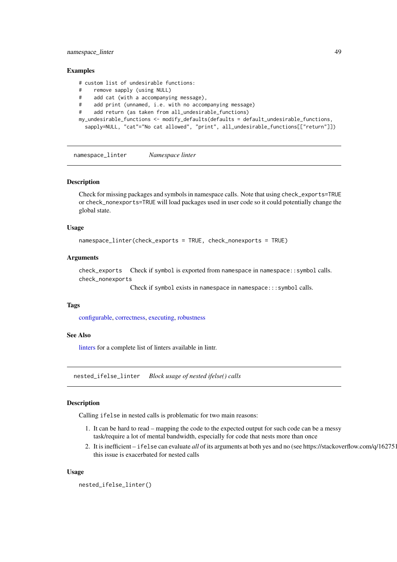#### namespace\_linter 49

#### Examples

```
# custom list of undesirable functions:
# remove sapply (using NULL)
# add cat (with a accompanying message),
# add print (unnamed, i.e. with no accompanying message)
# add return (as taken from all_undesirable_functions)
my_undesirable_functions <- modify_defaults(defaults = default_undesirable_functions,
  sapply=NULL, "cat"="No cat allowed", "print", all_undesirable_functions[["return"]])
```
<span id="page-48-0"></span>namespace\_linter *Namespace linter*

#### Description

Check for missing packages and symbols in namespace calls. Note that using check\_exports=TRUE or check\_nonexports=TRUE will load packages used in user code so it could potentially change the global state.

#### Usage

```
namespace_linter(check_exports = TRUE, check_nonexports = TRUE)
```
## Arguments

check\_exports Check if symbol is exported from namespace in namespace::symbol calls. check\_nonexports

Check if symbol exists in namespace in namespace:::symbol calls.

#### Tags

[configurable,](#page-16-0) [correctness,](#page-19-0) [executing,](#page-24-0) [robustness](#page-62-0)

#### See Also

[linters](#page-41-0) for a complete list of linters available in lintr.

<span id="page-48-1"></span>nested\_ifelse\_linter *Block usage of nested ifelse() calls*

#### Description

Calling ifelse in nested calls is problematic for two main reasons:

- 1. It can be hard to read mapping the code to the expected output for such code can be a messy task/require a lot of mental bandwidth, especially for code that nests more than once
- 2. It is inefficient ifelse can evaluate *all* of its arguments at both yes and no (see https://stackoverflow.com/q/162751) this issue is exacerbated for nested calls

## Usage

nested\_ifelse\_linter()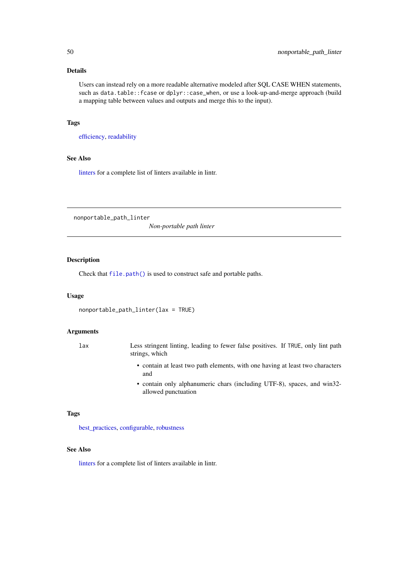# Details

Users can instead rely on a more readable alternative modeled after SQL CASE WHEN statements, such as data.table::fcase or dplyr::case\_when, or use a look-up-and-merge approach (build a mapping table between values and outputs and merge this to the input).

# Tags

[efficiency,](#page-22-0) [readability](#page-59-0)

# See Also

[linters](#page-41-0) for a complete list of linters available in lintr.

<span id="page-49-0"></span>nonportable\_path\_linter

*Non-portable path linter*

# Description

Check that [file.path\(\)](#page-0-0) is used to construct safe and portable paths.

# Usage

```
nonportable_path_linter(lax = TRUE)
```
## Arguments

- lax Less stringent linting, leading to fewer false positives. If TRUE, only lint path strings, which
	- contain at least two path elements, with one having at least two characters and
	- contain only alphanumeric chars (including UTF-8), spaces, and win32 allowed punctuation

#### Tags

[best\\_practices,](#page-10-0) [configurable,](#page-16-0) [robustness](#page-62-0)

# See Also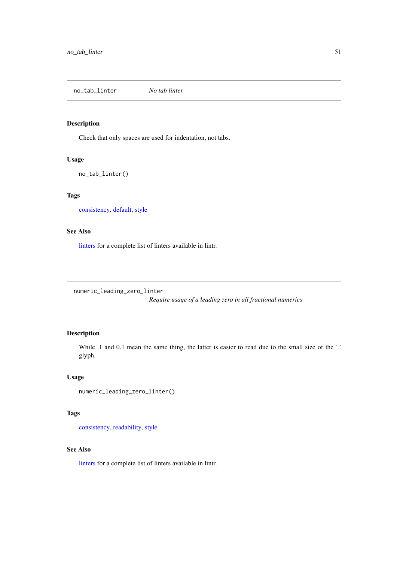<span id="page-50-0"></span>no\_tab\_linter *No tab linter*

## Description

Check that only spaces are used for indentation, not tabs.

# Usage

```
no_tab_linter()
```
# Tags

[consistency,](#page-18-0) [default,](#page-20-0) [style](#page-67-0)

# See Also

[linters](#page-41-0) for a complete list of linters available in lintr.

<span id="page-50-1"></span>numeric\_leading\_zero\_linter

*Require usage of a leading zero in all fractional numerics*

# Description

While .1 and 0.1 mean the same thing, the latter is easier to read due to the small size of the '.' glyph.

# Usage

```
numeric_leading_zero_linter()
```
# Tags

[consistency,](#page-18-0) [readability,](#page-59-0) [style](#page-67-0)

# See Also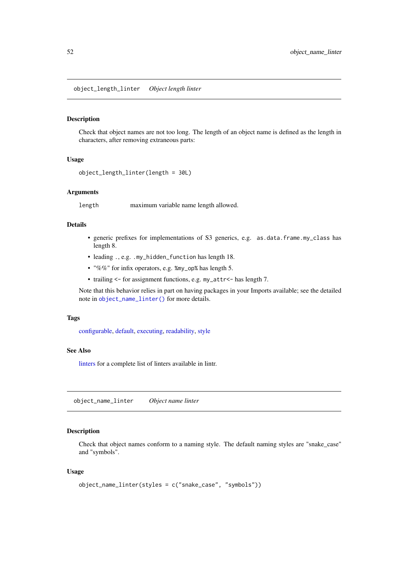<span id="page-51-0"></span>object\_length\_linter *Object length linter*

#### Description

Check that object names are not too long. The length of an object name is defined as the length in characters, after removing extraneous parts:

# Usage

```
object_length_linter(length = 30L)
```
## Arguments

length maximum variable name length allowed.

# Details

- generic prefixes for implementations of S3 generics, e.g. as.data.frame.my\_class has length 8.
- leading ., e.g. .my\_hidden\_function has length 18.
- "%%" for infix operators, e.g. %my\_op% has length 5.
- trailing <- for assignment functions, e.g. my\_attr<- has length 7.

Note that this behavior relies in part on having packages in your Imports available; see the detailed note in [object\\_name\\_linter\(\)](#page-51-1) for more details.

# Tags

[configurable,](#page-16-0) [default,](#page-20-0) [executing,](#page-24-0) [readability,](#page-59-0) [style](#page-67-0)

#### See Also

[linters](#page-41-0) for a complete list of linters available in lintr.

<span id="page-51-1"></span>object\_name\_linter *Object name linter*

# Description

Check that object names conform to a naming style. The default naming styles are "snake\_case" and "symbols".

# Usage

```
object_name_linter(styles = c("snake_case", "symbols"))
```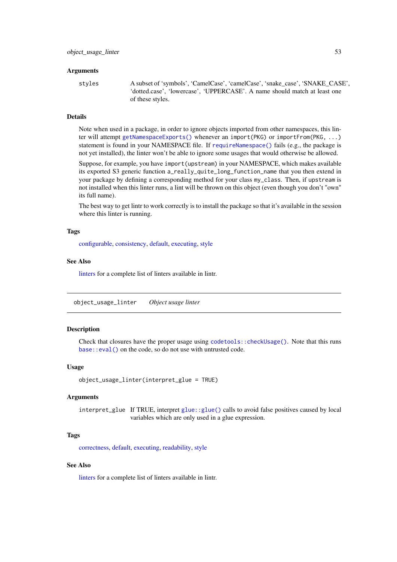## Arguments

styles A subset of 'symbols', 'CamelCase', 'camelCase', 'snake\_case', 'SNAKE\_CASE', 'dotted.case', 'lowercase', 'UPPERCASE'. A name should match at least one of these styles.

# Details

Note when used in a package, in order to ignore objects imported from other namespaces, this linter will attempt [getNamespaceExports\(\)](#page-0-0) whenever an import(PKG) or importFrom(PKG, ...) statement is found in your NAMESPACE file. If [requireNamespace\(\)](#page-0-0) fails (e.g., the package is not yet installed), the linter won't be able to ignore some usages that would otherwise be allowed.

Suppose, for example, you have import(upstream) in your NAMESPACE, which makes available its exported S3 generic function a\_really\_quite\_long\_function\_name that you then extend in your package by defining a corresponding method for your class my\_class. Then, if upstream is not installed when this linter runs, a lint will be thrown on this object (even though you don't "own" its full name).

The best way to get lintr to work correctly is to install the package so that it's available in the session where this linter is running.

#### Tags

[configurable,](#page-16-0) [consistency,](#page-18-0) [default,](#page-20-0) [executing,](#page-24-0) [style](#page-67-0)

# See Also

[linters](#page-41-0) for a complete list of linters available in lintr.

<span id="page-52-0"></span>object\_usage\_linter *Object usage linter*

#### Description

Check that closures have the proper usage using [codetools::checkUsage\(\)](#page-0-0). Note that this runs [base::eval\(\)](#page-0-0) on the code, so do not use with untrusted code.

## Usage

```
object_usage_linter(interpret_glue = TRUE)
```
# Arguments

interpret\_glue If TRUE, interpret [glue::glue\(\)](#page-0-0) calls to avoid false positives caused by local variables which are only used in a glue expression.

# Tags

[correctness,](#page-19-0) [default,](#page-20-0) [executing,](#page-24-0) [readability,](#page-59-0) [style](#page-67-0)

# See Also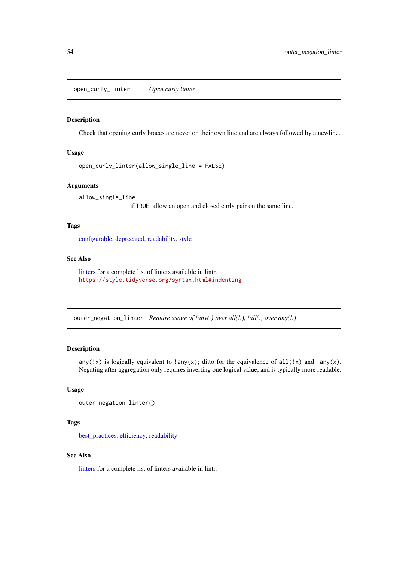<span id="page-53-0"></span>open\_curly\_linter *Open curly linter*

# Description

Check that opening curly braces are never on their own line and are always followed by a newline.

# Usage

open\_curly\_linter(allow\_single\_line = FALSE)

# Arguments

allow\_single\_line

if TRUE, allow an open and closed curly pair on the same line.

# Tags

[configurable,](#page-16-0) [deprecated,](#page-21-0) [readability,](#page-59-0) [style](#page-67-0)

#### See Also

[linters](#page-41-0) for a complete list of linters available in lintr. <https://style.tidyverse.org/syntax.html#indenting>

<span id="page-53-1"></span>outer\_negation\_linter *Require usage of !any(.) over all(!.), !all(.) over any(!.)*

# Description

any(!x) is logically equivalent to !any(x); ditto for the equivalence of all(!x) and !any(x). Negating after aggregation only requires inverting one logical value, and is typically more readable.

# Usage

```
outer_negation_linter()
```
# Tags

[best\\_practices,](#page-10-0) [efficiency,](#page-22-0) [readability](#page-59-0)

#### See Also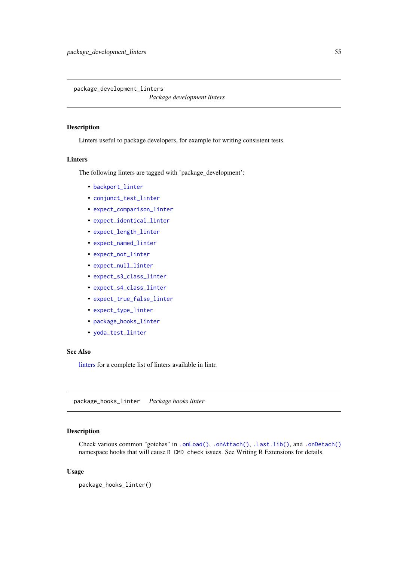<span id="page-54-0"></span>package\_development\_linters

*Package development linters*

## Description

Linters useful to package developers, for example for writing consistent tests.

# Linters

The following linters are tagged with 'package\_development':

- [backport\\_linter](#page-10-1)
- [conjunct\\_test\\_linter](#page-17-0)
- [expect\\_comparison\\_linter](#page-25-0)
- [expect\\_identical\\_linter](#page-25-1)
- [expect\\_length\\_linter](#page-26-0)
- [expect\\_named\\_linter](#page-28-0)
- [expect\\_not\\_linter](#page-28-1)
- [expect\\_null\\_linter](#page-29-0)
- [expect\\_s3\\_class\\_linter](#page-29-1)
- [expect\\_s4\\_class\\_linter](#page-30-0)
- [expect\\_true\\_false\\_linter](#page-30-1)
- [expect\\_type\\_linter](#page-31-0)
- [package\\_hooks\\_linter](#page-54-1)
- [yoda\\_test\\_linter](#page-76-0)

## See Also

[linters](#page-41-0) for a complete list of linters available in lintr.

<span id="page-54-1"></span>package\_hooks\_linter *Package hooks linter*

# Description

Check various common "gotchas" in [.onLoad\(\)](#page-0-0), [.onAttach\(\)](#page-0-0), [.Last.lib\(\)](#page-0-0), and [.onDetach\(\)](#page-0-0) namespace hooks that will cause R CMD check issues. See Writing R Extensions for details.

# Usage

```
package_hooks_linter()
```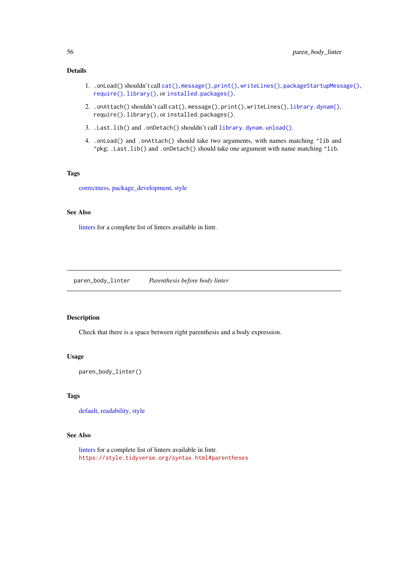# Details

- 1. .onLoad() shouldn't call [cat\(\)](#page-0-0), [message\(\)](#page-0-0), [print\(\)](#page-0-0), [writeLines\(\)](#page-0-0), [packageStartupMessage\(\)](#page-0-0), [require\(\)](#page-0-0), [library\(\)](#page-0-0), or [installed.packages\(\)](#page-0-0).
- 2. .onAttach() shouldn't call cat(), message(), print(), writeLines(), [library.dynam\(\)](#page-0-0), require(), library(), or installed.packages().
- 3. .Last.lib() and .onDetach() shouldn't call [library.dynam.unload\(\)](#page-0-0).
- 4. .onLoad() and .onAttach() should take two arguments, with names matching ^lib and ^pkg; .Last.lib() and .onDetach() should take one argument with name matching ^lib.

# Tags

[correctness,](#page-19-0) [package\\_development,](#page-54-0) [style](#page-67-0)

## See Also

[linters](#page-41-0) for a complete list of linters available in lintr.

<span id="page-55-0"></span>paren\_body\_linter *Parenthesis before body linter*

# Description

Check that there is a space between right parenthesis and a body expression.

#### Usage

paren\_body\_linter()

#### Tags

[default,](#page-20-0) [readability,](#page-59-0) [style](#page-67-0)

# See Also

[linters](#page-41-0) for a complete list of linters available in lintr. <https://style.tidyverse.org/syntax.html#parentheses>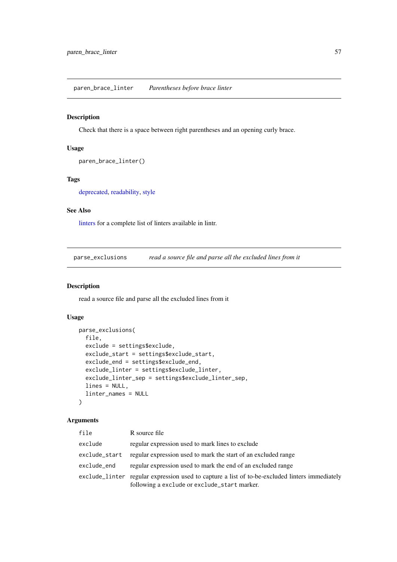<span id="page-56-0"></span>paren\_brace\_linter *Parentheses before brace linter*

# Description

Check that there is a space between right parentheses and an opening curly brace.

## Usage

```
paren_brace_linter()
```
# Tags

[deprecated,](#page-21-0) [readability,](#page-59-0) [style](#page-67-0)

# See Also

[linters](#page-41-0) for a complete list of linters available in lintr.

parse\_exclusions *read a source file and parse all the excluded lines from it*

#### Description

read a source file and parse all the excluded lines from it

# Usage

```
parse_exclusions(
  file,
  exclude = settings$exclude,
  exclude_start = settings$exclude_start,
  exclude_end = settings$exclude_end,
  exclude_linter = settings$exclude_linter,
  exclude_linter_sep = settings$exclude_linter_sep,
  lines = NULL,
  linter_names = NULL
)
```
# Arguments

| file          | R source file                                                                                                                                  |
|---------------|------------------------------------------------------------------------------------------------------------------------------------------------|
| exclude       | regular expression used to mark lines to exclude                                                                                               |
| exclude_start | regular expression used to mark the start of an excluded range                                                                                 |
| exclude_end   | regular expression used to mark the end of an excluded range                                                                                   |
|               | exclude_linter regular expression used to capture a list of to-be-excluded linters immediately<br>following a exclude or exclude_start marker. |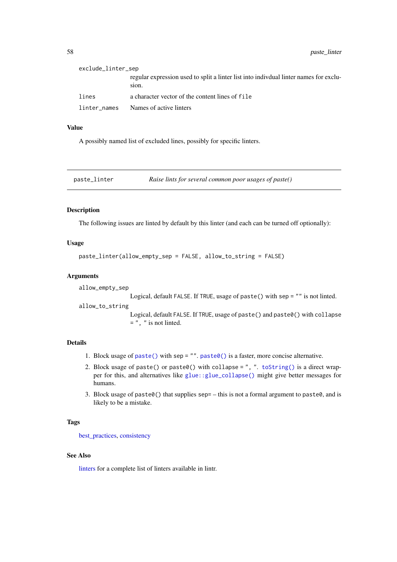| exclude_linter_sep |                                                                                                 |
|--------------------|-------------------------------------------------------------------------------------------------|
|                    | regular expression used to split a linter list into individual linter names for exclu-<br>sion. |
| lines              | a character vector of the content lines of file                                                 |
| linter names       | Names of active linters                                                                         |

# Value

A possibly named list of excluded lines, possibly for specific linters.

<span id="page-57-0"></span>

| paste_linter | Raise lints for several common poor usages of paste() |
|--------------|-------------------------------------------------------|
|              |                                                       |

# Description

The following issues are linted by default by this linter (and each can be turned off optionally):

## Usage

```
paste_linter(allow_empty_sep = FALSE, allow_to_string = FALSE)
```
## Arguments

allow\_empty\_sep

Logical, default FALSE. If TRUE, usage of paste() with sep = "" is not linted.

allow\_to\_string

Logical, default FALSE. If TRUE, usage of paste() and paste0() with collapse  $=$  ", " is not linted.

## Details

- 1. Block usage of [paste\(\)](#page-0-0) with sep = "". [paste0\(\)](#page-0-0) is a faster, more concise alternative.
- 2. Block usage of paste() or paste0() with collapse = ", ". [toString\(\)](#page-0-0) is a direct wrapper for this, and alternatives like [glue::glue\\_collapse\(\)](#page-0-0) might give better messages for humans.
- 3. Block usage of paste $\theta$ () that supplies sep= this is not a formal argument to paste $\theta$ , and is likely to be a mistake.

# Tags

[best\\_practices,](#page-10-0) [consistency](#page-18-0)

## See Also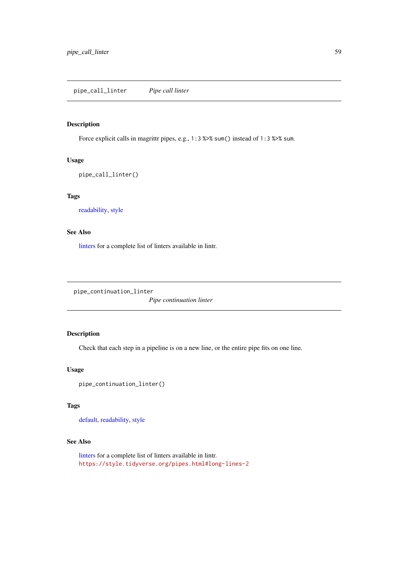# <span id="page-58-0"></span>Description

Force explicit calls in magrittr pipes, e.g., 1:3 %>% sum() instead of 1:3 %>% sum.

# Usage

```
pipe_call_linter()
```
# Tags

[readability,](#page-59-0) [style](#page-67-0)

# See Also

[linters](#page-41-0) for a complete list of linters available in lintr.

<span id="page-58-1"></span>pipe\_continuation\_linter

*Pipe continuation linter*

# Description

Check that each step in a pipeline is on a new line, or the entire pipe fits on one line.

# Usage

```
pipe_continuation_linter()
```
# Tags

[default,](#page-20-0) [readability,](#page-59-0) [style](#page-67-0)

# See Also

[linters](#page-41-0) for a complete list of linters available in lintr. <https://style.tidyverse.org/pipes.html#long-lines-2>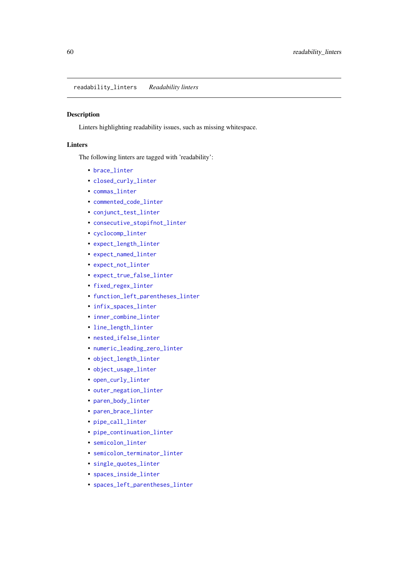<span id="page-59-0"></span>readability\_linters *Readability linters*

#### Description

Linters highlighting readability issues, such as missing whitespace.

# Linters

The following linters are tagged with 'readability':

- [brace\\_linter](#page-12-0)
- [closed\\_curly\\_linter](#page-14-0)
- [commas\\_linter](#page-14-1)
- [commented\\_code\\_linter](#page-15-1)
- [conjunct\\_test\\_linter](#page-17-0)
- [consecutive\\_stopifnot\\_linter](#page-18-1)
- [cyclocomp\\_linter](#page-19-1)
- [expect\\_length\\_linter](#page-26-0)
- [expect\\_named\\_linter](#page-28-0)
- [expect\\_not\\_linter](#page-28-1)
- [expect\\_true\\_false\\_linter](#page-30-1)
- [fixed\\_regex\\_linter](#page-32-0)
- [function\\_left\\_parentheses\\_linter](#page-32-1)
- [infix\\_spaces\\_linter](#page-36-0)
- [inner\\_combine\\_linter](#page-36-1)
- [line\\_length\\_linter](#page-37-0)
- [nested\\_ifelse\\_linter](#page-48-1)
- [numeric\\_leading\\_zero\\_linter](#page-50-1)
- [object\\_length\\_linter](#page-51-0)
- [object\\_usage\\_linter](#page-52-0)
- [open\\_curly\\_linter](#page-53-0)
- [outer\\_negation\\_linter](#page-53-1)
- [paren\\_body\\_linter](#page-55-0)
- [paren\\_brace\\_linter](#page-56-0)
- [pipe\\_call\\_linter](#page-58-0)
- [pipe\\_continuation\\_linter](#page-58-1)
- [semicolon\\_linter](#page-63-0)
- [semicolon\\_terminator\\_linter](#page-63-1)
- [single\\_quotes\\_linter](#page-64-0)
- [spaces\\_inside\\_linter](#page-64-1)
- [spaces\\_left\\_parentheses\\_linter](#page-65-0)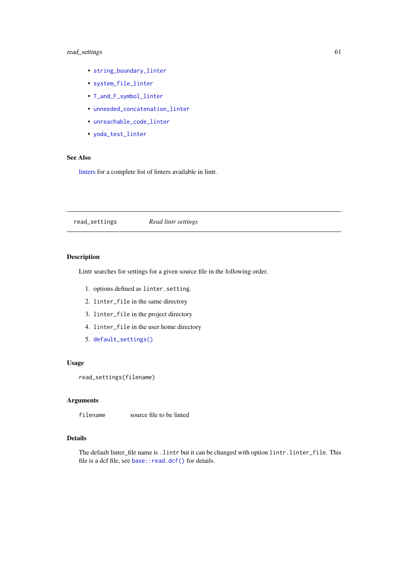#### read\_settings 61

- [string\\_boundary\\_linter](#page-66-0)
- [system\\_file\\_linter](#page-68-0)
- [T\\_and\\_F\\_symbol\\_linter](#page-70-0)
- [unneeded\\_concatenation\\_linter](#page-72-0)
- [unreachable\\_code\\_linter](#page-73-0)
- [yoda\\_test\\_linter](#page-76-0)

#### See Also

[linters](#page-41-0) for a complete list of linters available in lintr.

read\_settings *Read lintr settings*

# Description

Lintr searches for settings for a given source file in the following order.

- 1. options defined as linter.setting.
- 2. linter\_file in the same directory
- 3. linter\_file in the project directory
- 4. linter\_file in the user home directory
- 5. [default\\_settings\(\)](#page-21-1)

# Usage

```
read_settings(filename)
```
# Arguments

filename source file to be linted

# Details

The default linter\_file name is .lintr but it can be changed with option lintr.linter\_file. This file is a dcf file, see [base::read.dcf\(\)](#page-0-0) for details.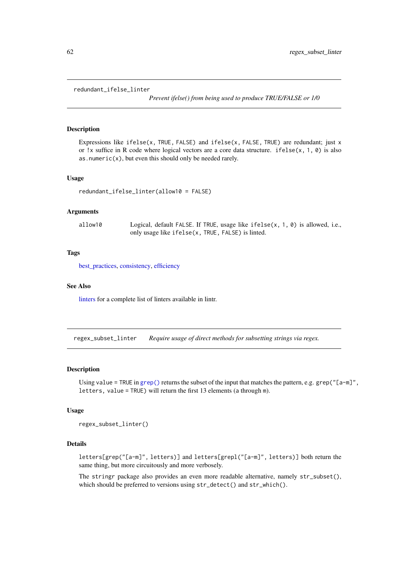#### <span id="page-61-0"></span>redundant\_ifelse\_linter

*Prevent ifelse() from being used to produce TRUE/FALSE or 1/0*

#### Description

Expressions like ifelse(x, TRUE, FALSE) and ifelse(x, FALSE, TRUE) are redundant; just  $x$ or !x suffice in R code where logical vectors are a core data structure. if else $(x, 1, 0)$  is also as.numeric $(x)$ , but even this should only be needed rarely.

#### Usage

```
redundant_ifelse_linter(allow10 = FALSE)
```
#### Arguments

| allow10 | Logical, default FALSE. If TRUE, usage like $ifelse(x, 1, 0)$ is allowed, i.e., |
|---------|---------------------------------------------------------------------------------|
|         | only usage like ifelse(x, TRUE, FALSE) is linted.                               |

#### Tags

[best\\_practices,](#page-10-0) [consistency,](#page-18-0) [efficiency](#page-22-0)

#### See Also

[linters](#page-41-0) for a complete list of linters available in lintr.

<span id="page-61-1"></span>regex\_subset\_linter *Require usage of direct methods for subsetting strings via regex.*

### Description

Using value = TRUE in [grep\(\)](#page-0-0) returns the subset of the input that matches the pattern, e.g. grep("[a-m]", letters, value = TRUE) will return the first 13 elements (a through m).

## Usage

regex\_subset\_linter()

#### Details

letters[grep("[a-m]", letters)] and letters[grepl("[a-m]", letters)] both return the same thing, but more circuitously and more verbosely.

The stringr package also provides an even more readable alternative, namely str\_subset(), which should be preferred to versions using str\_detect() and str\_which().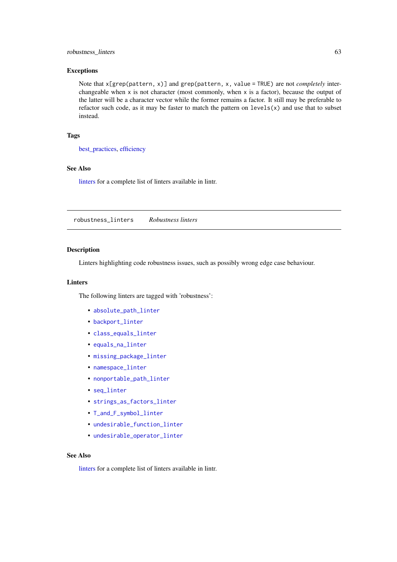#### robustness\_linters 63

# Exceptions

Note that x[grep(pattern, x)] and grep(pattern, x, value = TRUE) are not *completely* interchangeable when x is not character (most commonly, when x is a factor), because the output of the latter will be a character vector while the former remains a factor. It still may be preferable to refactor such code, as it may be faster to match the pattern on  $levels(x)$  and use that to subset instead.

# Tags

[best\\_practices,](#page-10-0) [efficiency](#page-22-0)

#### See Also

[linters](#page-41-0) for a complete list of linters available in lintr.

<span id="page-62-0"></span>robustness\_linters *Robustness linters*

# Description

Linters highlighting code robustness issues, such as possibly wrong edge case behaviour.

#### **Linters**

The following linters are tagged with 'robustness':

- [absolute\\_path\\_linter](#page-5-0)
- [backport\\_linter](#page-10-1)
- class equals linter
- [equals\\_na\\_linter](#page-23-1)
- [missing\\_package\\_linter](#page-47-0)
- [namespace\\_linter](#page-48-0)
- [nonportable\\_path\\_linter](#page-49-0)
- [seq\\_linter](#page-63-2)
- [strings\\_as\\_factors\\_linter](#page-66-1)
- [T\\_and\\_F\\_symbol\\_linter](#page-70-0)
- [undesirable\\_function\\_linter](#page-71-0)
- [undesirable\\_operator\\_linter](#page-71-1)

## See Also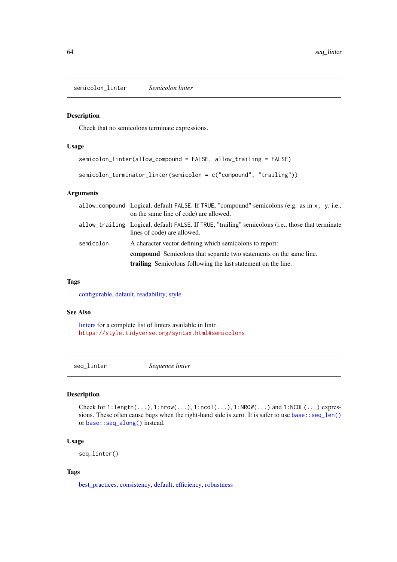<span id="page-63-0"></span>semicolon\_linter *Semicolon linter*

# <span id="page-63-1"></span>Description

Check that no semicolons terminate expressions.

# Usage

```
semicolon_linter(allow_compound = FALSE, allow_trailing = FALSE)
```

```
semicolon_terminator_linter(semicolon = c("compound", "trailing"))
```
# Arguments

| allow_compound Logical, default FALSE. If TRUE, "compound" semicolons (e.g. as in x; y, i.e.,<br>on the same line of code) are allowed.    |
|--------------------------------------------------------------------------------------------------------------------------------------------|
| allow_trailing Logical, default FALSE. If TRUE, "trailing" semicolons (i.e., those that terminate<br>lines of code) are allowed.           |
| A character vector defining which semicolons to report:                                                                                    |
| <b>compound</b> Semicolons that separate two statements on the same line.<br>trailing Semicolons following the last statement on the line. |
|                                                                                                                                            |

# Tags

[configurable,](#page-16-0) [default,](#page-20-0) [readability,](#page-59-0) [style](#page-67-0)

## See Also

[linters](#page-41-0) for a complete list of linters available in lintr. <https://style.tidyverse.org/syntax.html#semicolons>

<span id="page-63-2"></span>seq\_linter *Sequence linter*

## Description

Check for 1:length(...), 1:nrow(...), 1:ncol(...), 1:NROW(...) and 1:NCOL(...) expressions. These often cause bugs when the right-hand side is zero. It is safer to use [base::seq\\_len\(\)](#page-0-0) or [base::seq\\_along\(\)](#page-0-0) instead.

# Usage

seq\_linter()

## Tags

[best\\_practices,](#page-10-0) [consistency,](#page-18-0) [default,](#page-20-0) [efficiency,](#page-22-0) [robustness](#page-62-0)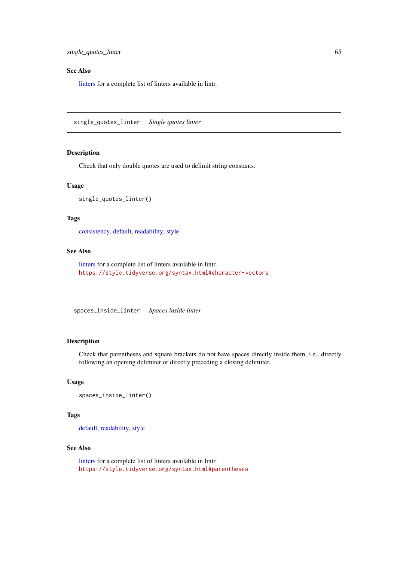## See Also

[linters](#page-41-0) for a complete list of linters available in lintr.

<span id="page-64-0"></span>single\_quotes\_linter *Single quotes linter*

# Description

Check that only double quotes are used to delimit string constants.

# Usage

```
single_quotes_linter()
```
## Tags

[consistency,](#page-18-0) [default,](#page-20-0) [readability,](#page-59-0) [style](#page-67-0)

# See Also

[linters](#page-41-0) for a complete list of linters available in lintr. <https://style.tidyverse.org/syntax.html#character-vectors>

<span id="page-64-1"></span>spaces\_inside\_linter *Spaces inside linter*

# Description

Check that parentheses and square brackets do not have spaces directly inside them, i.e., directly following an opening delimiter or directly preceding a closing delimiter.

#### Usage

```
spaces_inside_linter()
```
# Tags

[default,](#page-20-0) [readability,](#page-59-0) [style](#page-67-0)

## See Also

[linters](#page-41-0) for a complete list of linters available in lintr. <https://style.tidyverse.org/syntax.html#parentheses>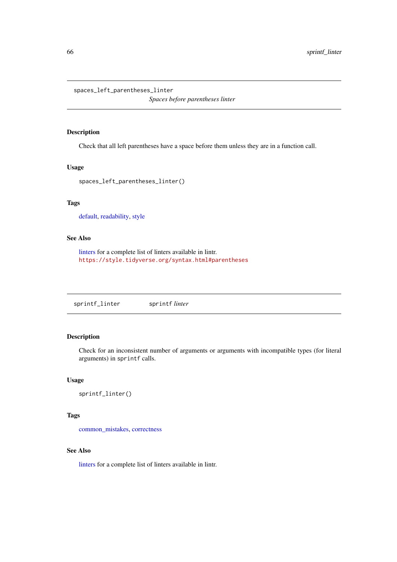<span id="page-65-0"></span>spaces\_left\_parentheses\_linter

*Spaces before parentheses linter*

# Description

Check that all left parentheses have a space before them unless they are in a function call.

# Usage

```
spaces_left_parentheses_linter()
```
# Tags

[default,](#page-20-0) [readability,](#page-59-0) [style](#page-67-0)

# See Also

[linters](#page-41-0) for a complete list of linters available in lintr. <https://style.tidyverse.org/syntax.html#parentheses>

<span id="page-65-1"></span>sprintf\_linter sprintf *linter* 

# Description

Check for an inconsistent number of arguments or arguments with incompatible types (for literal arguments) in sprintf calls.

# Usage

```
sprintf_linter()
```
## Tags

[common\\_mistakes,](#page-15-0) [correctness](#page-19-0)

# See Also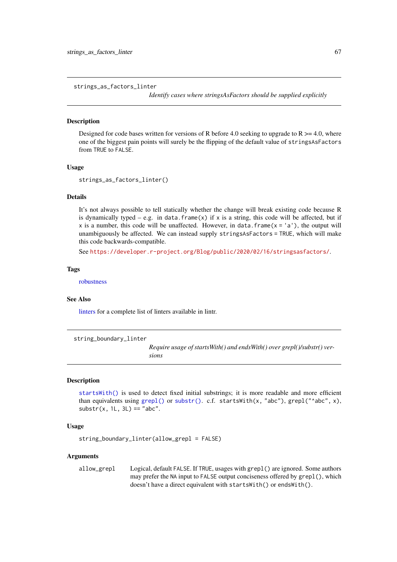<span id="page-66-1"></span>strings\_as\_factors\_linter

*Identify cases where stringsAsFactors should be supplied explicitly*

#### Description

Designed for code bases written for versions of R before 4.0 seeking to upgrade to  $R \ge 4.0$ , where one of the biggest pain points will surely be the flipping of the default value of stringsAsFactors from TRUE to FALSE.

#### Usage

```
strings as factors linter()
```
# Details

It's not always possible to tell statically whether the change will break existing code because R is dynamically typed – e.g. in data. frame(x) if x is a string, this code will be affected, but if x is a number, this code will be unaffected. However, in data. frame  $(x = 'a')$ , the output will unambiguously be affected. We can instead supply stringsAsFactors = TRUE, which will make this code backwards-compatible.

See <https://developer.r-project.org/Blog/public/2020/02/16/stringsasfactors/>.

#### Tags

[robustness](#page-62-0)

#### See Also

[linters](#page-41-0) for a complete list of linters available in lintr.

<span id="page-66-0"></span>string\_boundary\_linter

*Require usage of startsWith() and endsWith() over grepl()/substr() versions*

#### **Description**

[startsWith\(\)](#page-0-0) is used to detect fixed initial substrings; it is more readable and more efficient than equivalents using [grepl\(\)](#page-0-0) or [substr\(\)](#page-0-0). c.f. startsWith(x, "abc"), grepl("^abc", x),  $\textsf{substr}(x, 1L, 3L) == \text{"abc".}$ 

# Usage

string\_boundary\_linter(allow\_grepl = FALSE)

## Arguments

allow\_grepl Logical, default FALSE. If TRUE, usages with grepl() are ignored. Some authors may prefer the NA input to FALSE output conciseness offered by grepl(), which doesn't have a direct equivalent with startsWith() or endsWith().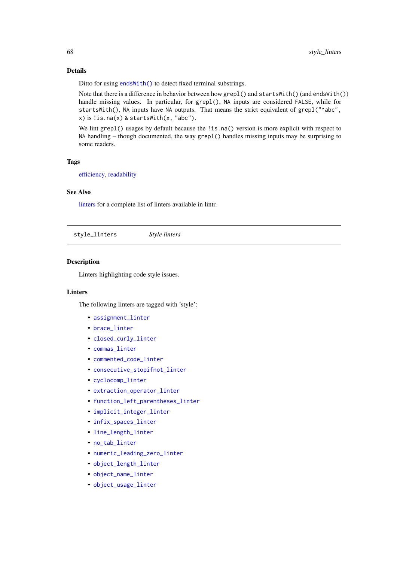## Details

Ditto for using [endsWith\(\)](#page-0-0) to detect fixed terminal substrings.

Note that there is a difference in behavior between how grepl() and startsWith() (and endsWith()) handle missing values. In particular, for grepl(), NA inputs are considered FALSE, while for startsWith(), NA inputs have NA outputs. That means the strict equivalent of grepl("^abc", x) is !is.na(x) & startsWith(x, "abc").

We lint grep1() usages by default because the !is.na() version is more explicit with respect to NA handling – though documented, the way grepl() handles missing inputs may be surprising to some readers.

#### Tags

[efficiency,](#page-22-0) [readability](#page-59-0)

#### See Also

[linters](#page-41-0) for a complete list of linters available in lintr.

<span id="page-67-0"></span>style\_linters *Style linters*

# **Description**

Linters highlighting code style issues.

#### Linters

The following linters are tagged with 'style':

- [assignment\\_linter](#page-8-1)
- [brace\\_linter](#page-12-0)
- [closed\\_curly\\_linter](#page-14-0)
- [commas\\_linter](#page-14-1)
- [commented\\_code\\_linter](#page-15-1)
- [consecutive\\_stopifnot\\_linter](#page-18-1)
- [cyclocomp\\_linter](#page-19-1)
- [extraction\\_operator\\_linter](#page-31-1)
- [function\\_left\\_parentheses\\_linter](#page-32-1)
- [implicit\\_integer\\_linter](#page-35-1)
- [infix\\_spaces\\_linter](#page-36-0)
- [line\\_length\\_linter](#page-37-0)
- [no\\_tab\\_linter](#page-50-0)
- [numeric\\_leading\\_zero\\_linter](#page-50-1)
- [object\\_length\\_linter](#page-51-0)
- [object\\_name\\_linter](#page-51-1)
- [object\\_usage\\_linter](#page-52-0)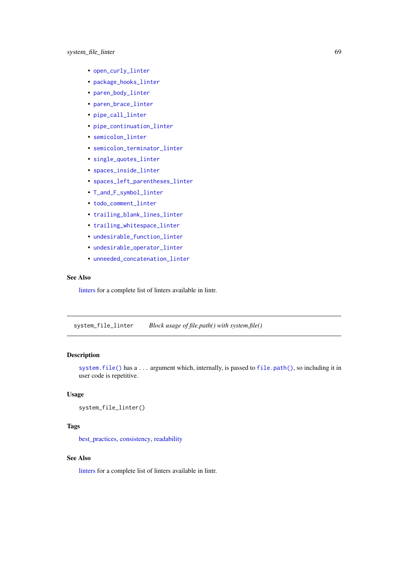- [open\\_curly\\_linter](#page-53-0)
- [package\\_hooks\\_linter](#page-54-1)
- [paren\\_body\\_linter](#page-55-0)
- [paren\\_brace\\_linter](#page-56-0)
- [pipe\\_call\\_linter](#page-58-0)
- [pipe\\_continuation\\_linter](#page-58-1)
- semicolon linter
- [semicolon\\_terminator\\_linter](#page-63-1)
- [single\\_quotes\\_linter](#page-64-0)
- [spaces\\_inside\\_linter](#page-64-1)
- [spaces\\_left\\_parentheses\\_linter](#page-65-0)
- [T\\_and\\_F\\_symbol\\_linter](#page-70-0)
- [todo\\_comment\\_linter](#page-69-0)
- [trailing\\_blank\\_lines\\_linter](#page-69-1)
- [trailing\\_whitespace\\_linter](#page-70-1)
- [undesirable\\_function\\_linter](#page-71-0)
- [undesirable\\_operator\\_linter](#page-71-1)
- [unneeded\\_concatenation\\_linter](#page-72-0)

## See Also

[linters](#page-41-0) for a complete list of linters available in lintr.

<span id="page-68-0"></span>system\_file\_linter *Block usage of file.path() with system.file()*

# Description

[system.file\(\)](#page-0-0) has a ... argument which, internally, is passed to [file.path\(\)](#page-0-0), so including it in user code is repetitive.

# Usage

```
system_file_linter()
```
# Tags

[best\\_practices,](#page-10-0) [consistency,](#page-18-0) [readability](#page-59-0)

# See Also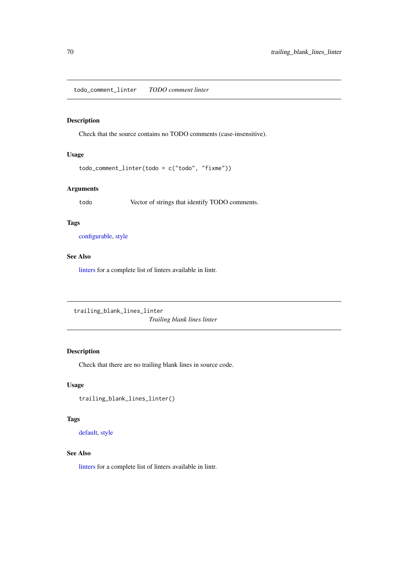<span id="page-69-0"></span>todo\_comment\_linter *TODO comment linter*

# Description

Check that the source contains no TODO comments (case-insensitive).

# Usage

```
todo_comment_linter(todo = c("todo", "fixme"))
```
# Arguments

todo Vector of strings that identify TODO comments.

## Tags

[configurable,](#page-16-0) [style](#page-67-0)

# See Also

[linters](#page-41-0) for a complete list of linters available in lintr.

<span id="page-69-1"></span>trailing\_blank\_lines\_linter

*Trailing blank lines linter*

# Description

Check that there are no trailing blank lines in source code.

# Usage

```
trailing_blank_lines_linter()
```
# Tags

[default,](#page-20-0) [style](#page-67-0)

## See Also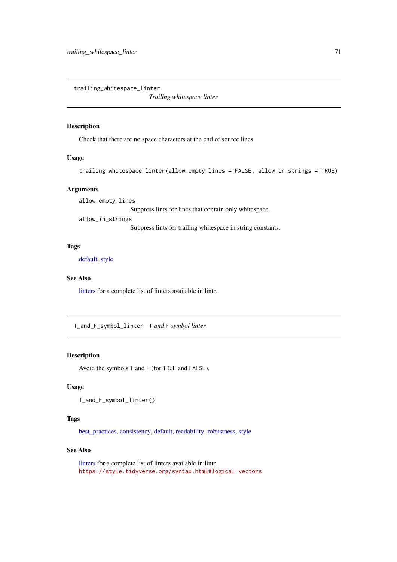<span id="page-70-1"></span>trailing\_whitespace\_linter

*Trailing whitespace linter*

# Description

Check that there are no space characters at the end of source lines.

# Usage

```
trailing_whitespace_linter(allow_empty_lines = FALSE, allow_in_strings = TRUE)
```
## Arguments

allow\_empty\_lines

Suppress lints for lines that contain only whitespace.

allow\_in\_strings

Suppress lints for trailing whitespace in string constants.

# Tags

[default,](#page-20-0) [style](#page-67-0)

# See Also

[linters](#page-41-0) for a complete list of linters available in lintr.

<span id="page-70-0"></span>T\_and\_F\_symbol\_linter T *and* F *symbol linter*

# Description

Avoid the symbols T and F (for TRUE and FALSE).

## Usage

```
T_and_F_symbol_linter()
```
## Tags

[best\\_practices,](#page-10-0) [consistency,](#page-18-0) [default,](#page-20-0) [readability,](#page-59-0) [robustness,](#page-62-0) [style](#page-67-0)

# See Also

[linters](#page-41-0) for a complete list of linters available in lintr. <https://style.tidyverse.org/syntax.html#logical-vectors>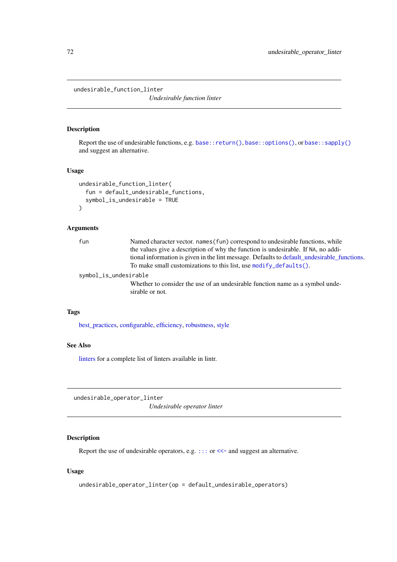<span id="page-71-0"></span>undesirable\_function\_linter

*Undesirable function linter*

# Description

Report the use of undesirable functions, e.g. [base::return\(\)](#page-0-0), [base::options\(\)](#page-0-0), or [base::sapply\(\)](#page-0-0) and suggest an alternative.

# Usage

```
undesirable_function_linter(
  fun = default_undesirable_functions,
  symbol_is_undesirable = TRUE
\lambda
```
#### Arguments

| fun                   | Named character vector, names (fun) correspond to undesirable functions, while                   |
|-----------------------|--------------------------------------------------------------------------------------------------|
|                       | the values give a description of why the function is undesirable. If NA, no addi-                |
|                       | tional information is given in the lint message. Defaults to default_undesirable_functions.      |
|                       | To make small customizations to this list, use modify_defaults().                                |
| symbol_is_undesirable |                                                                                                  |
|                       | Whether to consider the use of an undesirable function name as a symbol unde-<br>sirable or not. |
|                       |                                                                                                  |

# Tags

[best\\_practices,](#page-10-0) [configurable,](#page-16-0) [efficiency,](#page-22-0) [robustness,](#page-62-0) [style](#page-67-0)

# See Also

[linters](#page-41-0) for a complete list of linters available in lintr.

<span id="page-71-1"></span>undesirable\_operator\_linter

*Undesirable operator linter*

# Description

Report the use of undesirable operators, e.g. [:::](#page-0-0) or [<<-](#page-0-0) and suggest an alternative.

# Usage

```
undesirable_operator_linter(op = default_undesirable_operators)
```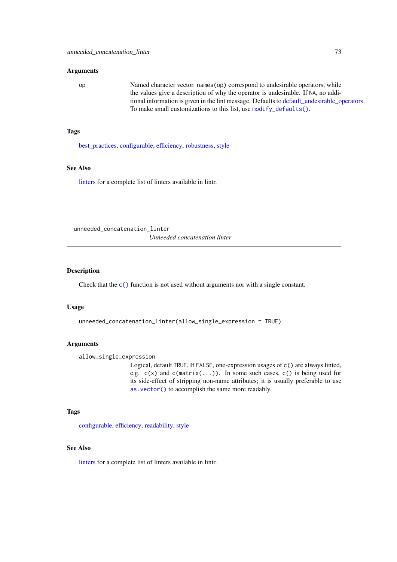# Arguments

| op | Named character vector. names (op) correspond to undesirable operators, while               |
|----|---------------------------------------------------------------------------------------------|
|    | the values give a description of why the operator is undesirable. If NA, no addi-           |
|    | tional information is given in the lint message. Defaults to default_undesirable_operators. |
|    | To make small customizations to this list, use modify defaults().                           |

## Tags

[best\\_practices,](#page-10-0) [configurable,](#page-16-0) [efficiency,](#page-22-0) [robustness,](#page-62-0) [style](#page-67-0)

### See Also

[linters](#page-41-0) for a complete list of linters available in lintr.

unneeded\_concatenation\_linter *Unneeded concatenation linter*

## Description

Check that the [c\(\)](#page-0-0) function is not used without arguments nor with a single constant.

### Usage

```
unneeded_concatenation_linter(allow_single_expression = TRUE)
```
#### Arguments

```
allow_single_expression
```
Logical, default TRUE. If FALSE, one-expression usages of c() are always linted, e.g.  $c(x)$  and  $c(\text{matrix}(\dots))$ . In some such cases,  $c()$  is being used for its side-effect of stripping non-name attributes; it is usually preferable to use [as.vector\(\)](#page-0-0) to accomplish the same more readably.

## Tags

[configurable,](#page-16-0) [efficiency,](#page-22-0) [readability,](#page-59-0) [style](#page-67-0)

## See Also

[linters](#page-41-0) for a complete list of linters available in lintr.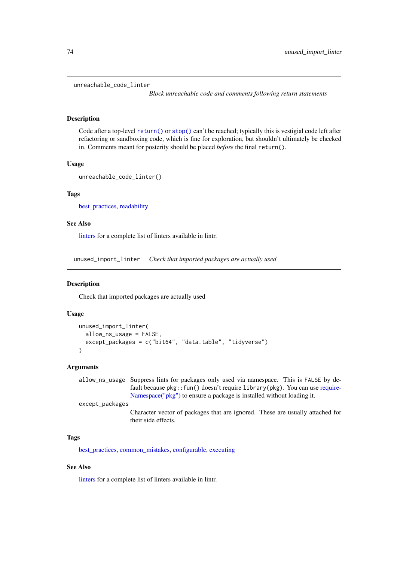unreachable\_code\_linter

*Block unreachable code and comments following return statements*

#### Description

Code after a top-level [return\(\)](#page-0-0) or [stop\(\)](#page-0-0) can't be reached; typically this is vestigial code left after refactoring or sandboxing code, which is fine for exploration, but shouldn't ultimately be checked in. Comments meant for posterity should be placed *before* the final return().

#### Usage

```
unreachable_code_linter()
```
### Tags

[best\\_practices,](#page-10-0) [readability](#page-59-0)

### See Also

[linters](#page-41-0) for a complete list of linters available in lintr.

unused\_import\_linter *Check that imported packages are actually used*

#### Description

Check that imported packages are actually used

#### Usage

```
unused_import_linter(
  allow_ns_usage = FALSE,
  except_packages = c("bit64", "data.table", "tidyverse")
)
```
#### Arguments

allow\_ns\_usage Suppress lints for packages only used via namespace. This is FALSE by default because pkg::fun() doesn't require library(pkg). You can use [require-](#page-0-0)[Namespace\("pkg"\)](#page-0-0) to ensure a package is installed without loading it. except\_packages Character vector of packages that are ignored. These are usually attached for

### Tags

[best\\_practices,](#page-10-0) [common\\_mistakes,](#page-15-0) [configurable,](#page-16-0) [executing](#page-24-0)

their side effects.

# See Also

[linters](#page-41-0) for a complete list of linters available in lintr.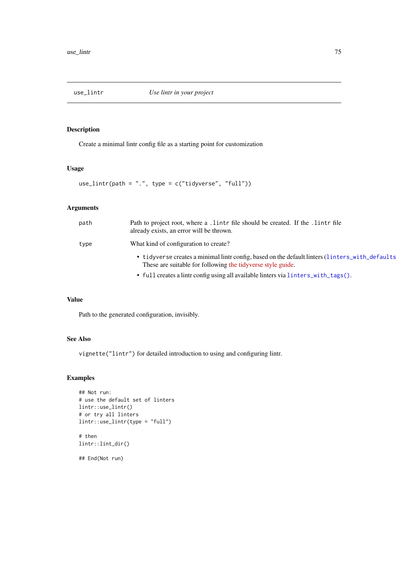# Description

Create a minimal lintr config file as a starting point for customization

### Usage

 $use\_limit(path = "."$ , type = c("tidyverse", "full"))

# Arguments

| path | Path to project root, where a lintr file should be created. If the lintr file<br>already exists, an error will be thrown.                                       |
|------|-----------------------------------------------------------------------------------------------------------------------------------------------------------------|
| type | What kind of configuration to create?                                                                                                                           |
|      | • tidyverse creates a minimal lintr config, based on the default linters (linters_with_defaults<br>These are suitable for following the tidy verse style guide. |
|      | • full creates a lintr configusing all available linters via linters_with_tags().                                                                               |

## Value

Path to the generated configuration, invisibly.

## See Also

vignette("lintr") for detailed introduction to using and configuring lintr.

## Examples

```
## Not run:
# use the default set of linters
lintr::use_lintr()
# or try all linters
lintr::use_lintr(type = "full")
# then
lintr::lint_dir()
## End(Not run)
```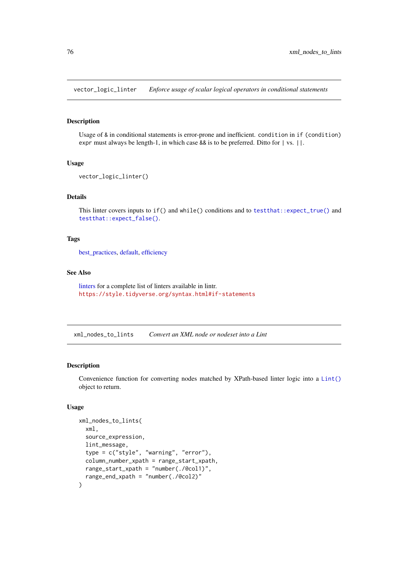vector\_logic\_linter *Enforce usage of scalar logical operators in conditional statements*

#### Description

Usage of & in conditional statements is error-prone and inefficient. condition in if (condition) expr must always be length-1, in which case && is to be preferred. Ditto for | vs. ||.

#### Usage

```
vector_logic_linter()
```
### Details

This linter covers inputs to  $if()$  and while() conditions and to test that::expect\_true() and [testthat::expect\\_false\(\)](#page-0-0).

#### Tags

best practices, [default,](#page-20-0) [efficiency](#page-22-0)

#### See Also

[linters](#page-41-0) for a complete list of linters available in lintr. <https://style.tidyverse.org/syntax.html#if-statements>

xml\_nodes\_to\_lints *Convert an XML node or nodeset into a Lint*

## Description

Convenience function for converting nodes matched by XPath-based linter logic into a [Lint\(\)](#page-40-0) object to return.

### Usage

```
xml_nodes_to_lints(
  xml,
  source_expression,
  lint_message,
  type = c("style", "warning", "error"),
  column_number_xpath = range_start_xpath,
  range_start_xpath = "number(./@col1)",
  range_end_xpath = "number(./@col2)"
)
```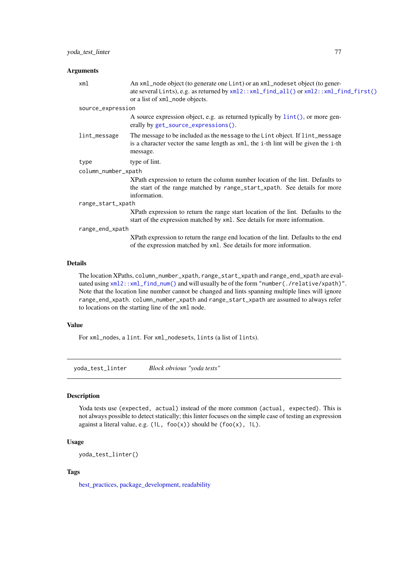### Arguments

| xml                 | An xml_node object (to generate one Lint) or an xml_nodeset object (to gener-<br>ate several Lints), e.g. as returned by xml2::xml_find_all() or xml2::xml_find_first()<br>or a list of xml_node objects. |
|---------------------|-----------------------------------------------------------------------------------------------------------------------------------------------------------------------------------------------------------|
| source_expression   |                                                                                                                                                                                                           |
|                     | A source expression object, e.g. as returned typically by $\text{lint}()$ , or more gen-<br>erally by get_source_expressions().                                                                           |
| lint_message        | The message to be included as the message to the Lint object. If lint_message<br>is a character vector the same length as $xml$ , the i-th lint will be given the i-th<br>message.                        |
| type                | type of lint.                                                                                                                                                                                             |
| column_number_xpath |                                                                                                                                                                                                           |
|                     | XPath expression to return the column number location of the lint. Defaults to<br>the start of the range matched by range_start_xpath. See details for more<br>information.                               |
| range_start_xpath   |                                                                                                                                                                                                           |
|                     | XPath expression to return the range start location of the lint. Defaults to the<br>start of the expression matched by xml. See details for more information.                                             |
| range_end_xpath     |                                                                                                                                                                                                           |
|                     | XPath expression to return the range end location of the lint. Defaults to the end<br>of the expression matched by xml. See details for more information.                                                 |
|                     |                                                                                                                                                                                                           |

#### Details

The location XPaths, column\_number\_xpath, range\_start\_xpath and range\_end\_xpath are evaluated using [xml2::xml\\_find\\_num\(\)](#page-0-0) and will usually be of the form "number(./relative/xpath)". Note that the location line number cannot be changed and lints spanning multiple lines will ignore range\_end\_xpath. column\_number\_xpath and range\_start\_xpath are assumed to always refer to locations on the starting line of the xml node.

### Value

For xml\_nodes, a lint. For xml\_nodesets, lints (a list of lints).

yoda\_test\_linter *Block obvious "yoda tests"*

### Description

Yoda tests use (expected, actual) instead of the more common (actual, expected). This is not always possible to detect statically; this linter focuses on the simple case of testing an expression against a literal value, e.g.  $(1L, foo(x))$  should be  $(foo(x), 1L)$ .

# Usage

yoda\_test\_linter()

# Tags

[best\\_practices,](#page-10-0) [package\\_development,](#page-54-0) [readability](#page-59-0)